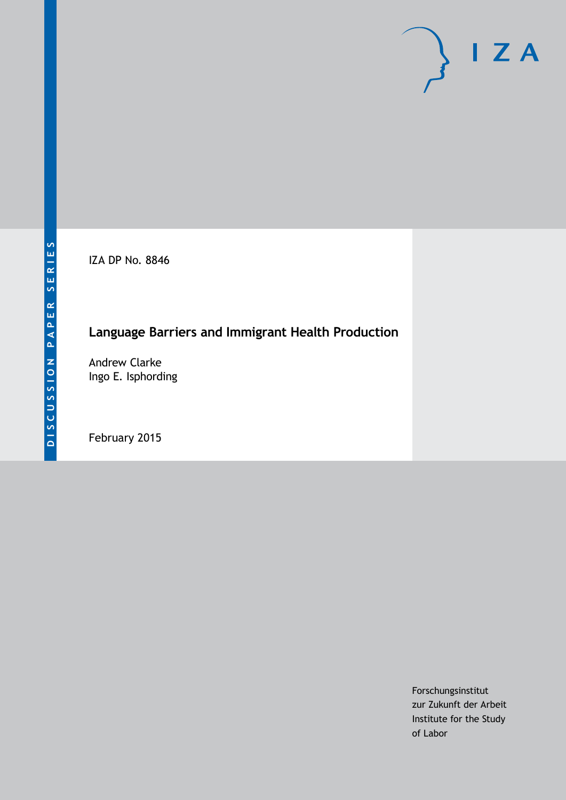IZA DP No. 8846

## **Language Barriers and Immigrant Health Production**

Andrew Clarke Ingo E. Isphording

February 2015

Forschungsinstitut zur Zukunft der Arbeit Institute for the Study of Labor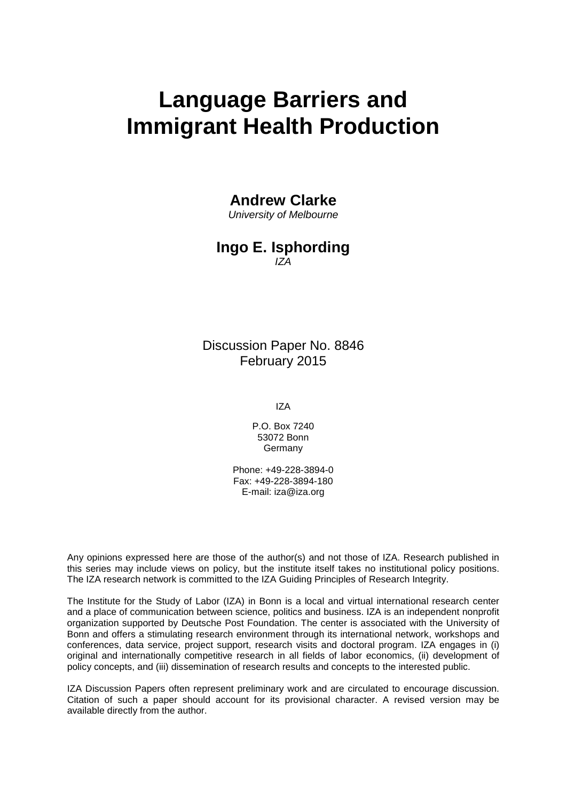# **Language Barriers and Immigrant Health Production**

#### **Andrew Clarke**

*University of Melbourne*

#### **Ingo E. Isphording** *IZA*

Discussion Paper No. 8846 February 2015

IZA

P.O. Box 7240 53072 Bonn Germany

Phone: +49-228-3894-0 Fax: +49-228-3894-180 E-mail: [iza@iza.org](mailto:iza@iza.org)

Any opinions expressed here are those of the author(s) and not those of IZA. Research published in this series may include views on policy, but the institute itself takes no institutional policy positions. The IZA research network is committed to the IZA Guiding Principles of Research Integrity.

The Institute for the Study of Labor (IZA) in Bonn is a local and virtual international research center and a place of communication between science, politics and business. IZA is an independent nonprofit organization supported by Deutsche Post Foundation. The center is associated with the University of Bonn and offers a stimulating research environment through its international network, workshops and conferences, data service, project support, research visits and doctoral program. IZA engages in (i) original and internationally competitive research in all fields of labor economics, (ii) development of policy concepts, and (iii) dissemination of research results and concepts to the interested public.

<span id="page-1-0"></span>IZA Discussion Papers often represent preliminary work and are circulated to encourage discussion. Citation of such a paper should account for its provisional character. A revised version may be available directly from the author.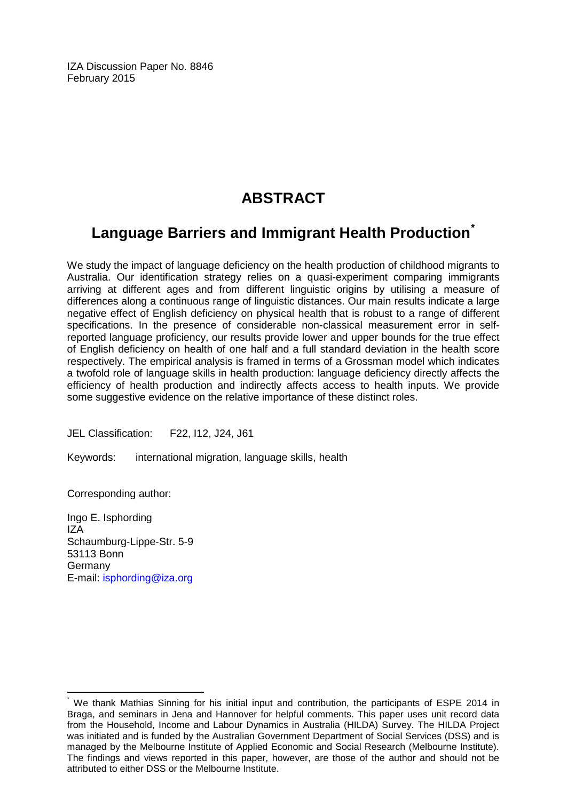IZA Discussion Paper No. 8846 February 2015

## **ABSTRACT**

## **Language Barriers and Immigrant Health Production[\\*](#page-1-0)**

We study the impact of language deficiency on the health production of childhood migrants to Australia. Our identification strategy relies on a quasi-experiment comparing immigrants arriving at different ages and from different linguistic origins by utilising a measure of differences along a continuous range of linguistic distances. Our main results indicate a large negative effect of English deficiency on physical health that is robust to a range of different specifications. In the presence of considerable non-classical measurement error in selfreported language proficiency, our results provide lower and upper bounds for the true effect of English deficiency on health of one half and a full standard deviation in the health score respectively. The empirical analysis is framed in terms of a Grossman model which indicates a twofold role of language skills in health production: language deficiency directly affects the efficiency of health production and indirectly affects access to health inputs. We provide some suggestive evidence on the relative importance of these distinct roles.

JEL Classification: F22, I12, J24, J61

Keywords: international migration, language skills, health

Corresponding author:

Ingo E. Isphording IZA Schaumburg-Lippe-Str. 5-9 53113 Bonn Germany E-mail: [isphording@iza.org](mailto:isphording@iza.org)

We thank Mathias Sinning for his initial input and contribution, the participants of ESPE 2014 in Braga, and seminars in Jena and Hannover for helpful comments. This paper uses unit record data from the Household, Income and Labour Dynamics in Australia (HILDA) Survey. The HILDA Project was initiated and is funded by the Australian Government Department of Social Services (DSS) and is managed by the Melbourne Institute of Applied Economic and Social Research (Melbourne Institute). The findings and views reported in this paper, however, are those of the author and should not be attributed to either DSS or the Melbourne Institute.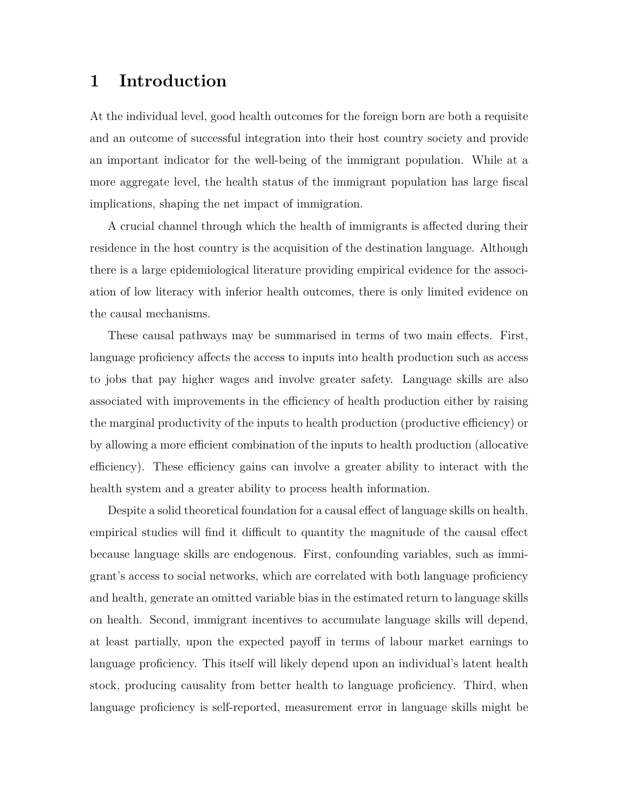## **1 Introduction**

At the individual level, good health outcomes for the foreign born are both a requisite and an outcome of successful integration into their host country society and provide an important indicator for the well-being of the immigrant population. While at a more aggregate level, the health status of the immigrant population has large fiscal implications, shaping the net impact of immigration.

A crucial channel through which the health of immigrants is affected during their residence in the host country is the acquisition of the destination language. Although there is a large epidemiological literature providing empirical evidence for the association of low literacy with inferior health outcomes, there is only limited evidence on the causal mechanisms.

These causal pathways may be summarised in terms of two main effects. First, language proficiency affects the access to inputs into health production such as access to jobs that pay higher wages and involve greater safety. Language skills are also associated with improvements in the efficiency of health production either by raising the marginal productivity of the inputs to health production (productive efficiency) or by allowing a more efficient combination of the inputs to health production (allocative efficiency). These efficiency gains can involve a greater ability to interact with the health system and a greater ability to process health information.

Despite a solid theoretical foundation for a causal effect of language skills on health, empirical studies will find it difficult to quantity the magnitude of the causal effect because language skills are endogenous. First, confounding variables, such as immigrant's access to social networks, which are correlated with both language proficiency and health, generate an omitted variable bias in the estimated return to language skills on health. Second, immigrant incentives to accumulate language skills will depend, at least partially, upon the expected payoff in terms of labour market earnings to language proficiency. This itself will likely depend upon an individual's latent health stock, producing causality from better health to language proficiency. Third, when language proficiency is self-reported, measurement error in language skills might be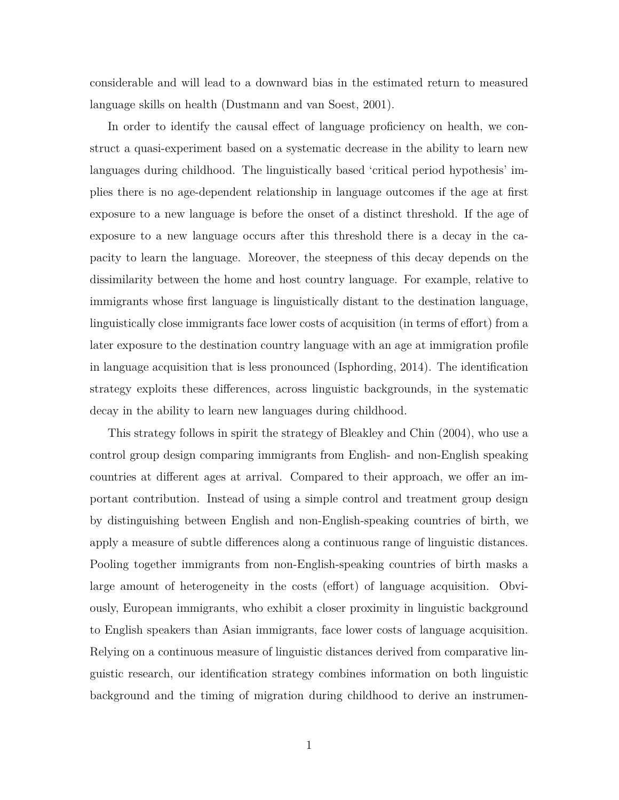considerable and will lead to a downward bias in the estimated return to measured language skills on health (Dustmann and van Soest, 2001).

In order to identify the causal effect of language proficiency on health, we construct a quasi-experiment based on a systematic decrease in the ability to learn new languages during childhood. The linguistically based 'critical period hypothesis' implies there is no age-dependent relationship in language outcomes if the age at first exposure to a new language is before the onset of a distinct threshold. If the age of exposure to a new language occurs after this threshold there is a decay in the capacity to learn the language. Moreover, the steepness of this decay depends on the dissimilarity between the home and host country language. For example, relative to immigrants whose first language is linguistically distant to the destination language, linguistically close immigrants face lower costs of acquisition (in terms of effort) from a later exposure to the destination country language with an age at immigration profile in language acquisition that is less pronounced (Isphording, 2014). The identification strategy exploits these differences, across linguistic backgrounds, in the systematic decay in the ability to learn new languages during childhood.

This strategy follows in spirit the strategy of Bleakley and Chin (2004), who use a control group design comparing immigrants from English- and non-English speaking countries at different ages at arrival. Compared to their approach, we offer an important contribution. Instead of using a simple control and treatment group design by distinguishing between English and non-English-speaking countries of birth, we apply a measure of subtle differences along a continuous range of linguistic distances. Pooling together immigrants from non-English-speaking countries of birth masks a large amount of heterogeneity in the costs (effort) of language acquisition. Obviously, European immigrants, who exhibit a closer proximity in linguistic background to English speakers than Asian immigrants, face lower costs of language acquisition. Relying on a continuous measure of linguistic distances derived from comparative linguistic research, our identification strategy combines information on both linguistic background and the timing of migration during childhood to derive an instrumen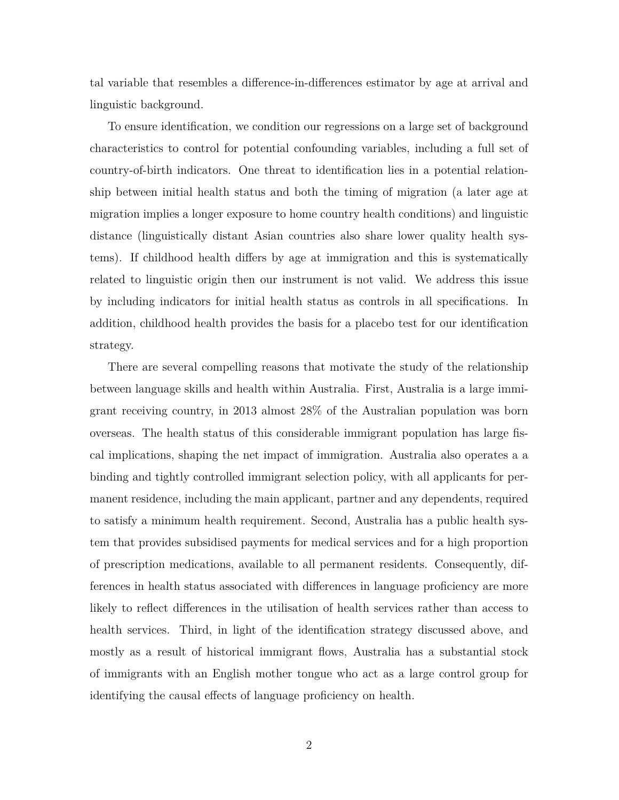tal variable that resembles a difference-in-differences estimator by age at arrival and linguistic background.

To ensure identification, we condition our regressions on a large set of background characteristics to control for potential confounding variables, including a full set of country-of-birth indicators. One threat to identification lies in a potential relationship between initial health status and both the timing of migration (a later age at migration implies a longer exposure to home country health conditions) and linguistic distance (linguistically distant Asian countries also share lower quality health systems). If childhood health differs by age at immigration and this is systematically related to linguistic origin then our instrument is not valid. We address this issue by including indicators for initial health status as controls in all specifications. In addition, childhood health provides the basis for a placebo test for our identification strategy.

There are several compelling reasons that motivate the study of the relationship between language skills and health within Australia. First, Australia is a large immigrant receiving country, in 2013 almost 28% of the Australian population was born overseas. The health status of this considerable immigrant population has large fiscal implications, shaping the net impact of immigration. Australia also operates a a binding and tightly controlled immigrant selection policy, with all applicants for permanent residence, including the main applicant, partner and any dependents, required to satisfy a minimum health requirement. Second, Australia has a public health system that provides subsidised payments for medical services and for a high proportion of prescription medications, available to all permanent residents. Consequently, differences in health status associated with differences in language proficiency are more likely to reflect differences in the utilisation of health services rather than access to health services. Third, in light of the identification strategy discussed above, and mostly as a result of historical immigrant flows, Australia has a substantial stock of immigrants with an English mother tongue who act as a large control group for identifying the causal effects of language proficiency on health.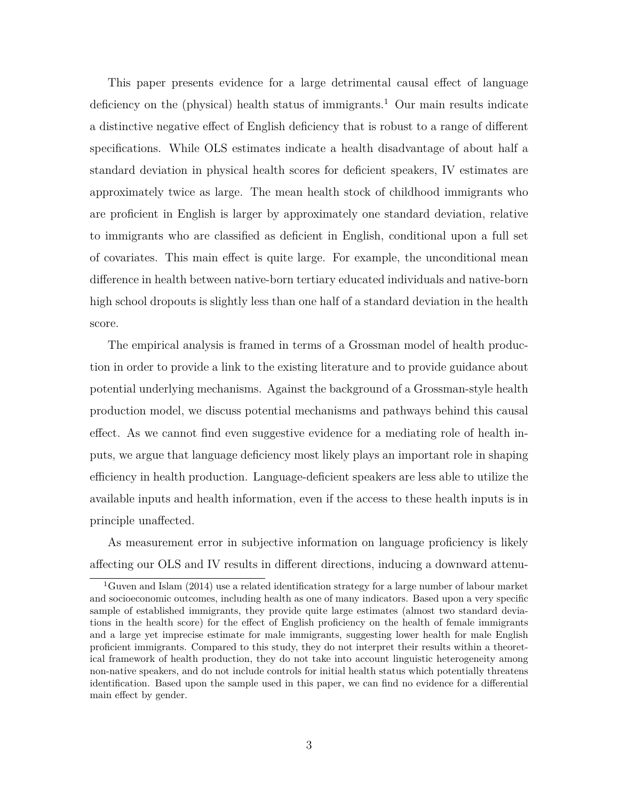This paper presents evidence for a large detrimental causal effect of language deficiency on the (physical) health status of immigrants.<sup>1</sup> Our main results indicate a distinctive negative effect of English deficiency that is robust to a range of different specifications. While OLS estimates indicate a health disadvantage of about half a standard deviation in physical health scores for deficient speakers, IV estimates are approximately twice as large. The mean health stock of childhood immigrants who are proficient in English is larger by approximately one standard deviation, relative to immigrants who are classified as deficient in English, conditional upon a full set of covariates. This main effect is quite large. For example, the unconditional mean difference in health between native-born tertiary educated individuals and native-born high school dropouts is slightly less than one half of a standard deviation in the health score.

The empirical analysis is framed in terms of a Grossman model of health production in order to provide a link to the existing literature and to provide guidance about potential underlying mechanisms. Against the background of a Grossman-style health production model, we discuss potential mechanisms and pathways behind this causal effect. As we cannot find even suggestive evidence for a mediating role of health inputs, we argue that language deficiency most likely plays an important role in shaping efficiency in health production. Language-deficient speakers are less able to utilize the available inputs and health information, even if the access to these health inputs is in principle unaffected.

As measurement error in subjective information on language proficiency is likely affecting our OLS and IV results in different directions, inducing a downward attenu-

<sup>&</sup>lt;sup>1</sup>Guven and Islam (2014) use a related identification strategy for a large number of labour market and socioeconomic outcomes, including health as one of many indicators. Based upon a very specific sample of established immigrants, they provide quite large estimates (almost two standard deviations in the health score) for the effect of English proficiency on the health of female immigrants and a large yet imprecise estimate for male immigrants, suggesting lower health for male English proficient immigrants. Compared to this study, they do not interpret their results within a theoretical framework of health production, they do not take into account linguistic heterogeneity among non-native speakers, and do not include controls for initial health status which potentially threatens identification. Based upon the sample used in this paper, we can find no evidence for a differential main effect by gender.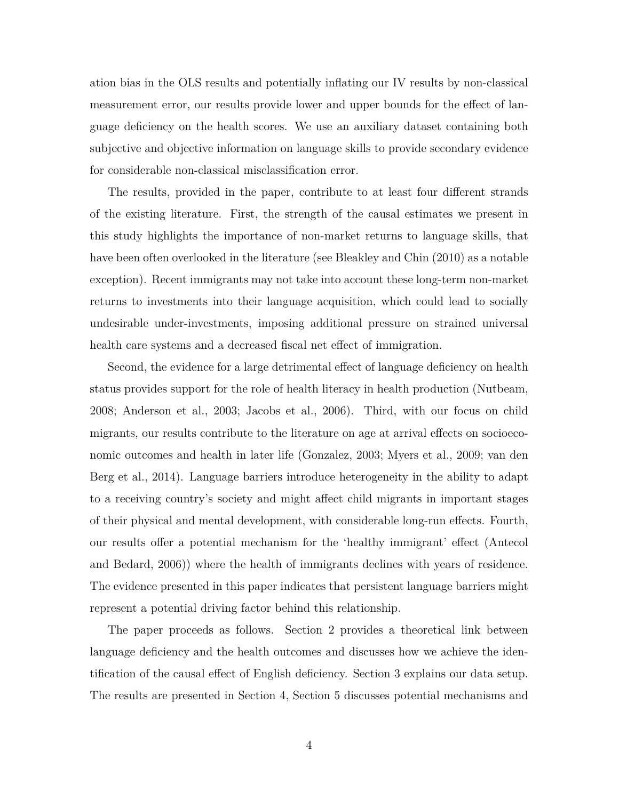ation bias in the OLS results and potentially inflating our IV results by non-classical measurement error, our results provide lower and upper bounds for the effect of language deficiency on the health scores. We use an auxiliary dataset containing both subjective and objective information on language skills to provide secondary evidence for considerable non-classical misclassification error.

The results, provided in the paper, contribute to at least four different strands of the existing literature. First, the strength of the causal estimates we present in this study highlights the importance of non-market returns to language skills, that have been often overlooked in the literature (see Bleakley and Chin (2010) as a notable exception). Recent immigrants may not take into account these long-term non-market returns to investments into their language acquisition, which could lead to socially undesirable under-investments, imposing additional pressure on strained universal health care systems and a decreased fiscal net effect of immigration.

Second, the evidence for a large detrimental effect of language deficiency on health status provides support for the role of health literacy in health production (Nutbeam, 2008; Anderson et al., 2003; Jacobs et al., 2006). Third, with our focus on child migrants, our results contribute to the literature on age at arrival effects on socioeconomic outcomes and health in later life (Gonzalez, 2003; Myers et al., 2009; van den Berg et al., 2014). Language barriers introduce heterogeneity in the ability to adapt to a receiving country's society and might affect child migrants in important stages of their physical and mental development, with considerable long-run effects. Fourth, our results offer a potential mechanism for the 'healthy immigrant' effect (Antecol and Bedard, 2006)) where the health of immigrants declines with years of residence. The evidence presented in this paper indicates that persistent language barriers might represent a potential driving factor behind this relationship.

The paper proceeds as follows. Section 2 provides a theoretical link between language deficiency and the health outcomes and discusses how we achieve the identification of the causal effect of English deficiency. Section 3 explains our data setup. The results are presented in Section 4, Section 5 discusses potential mechanisms and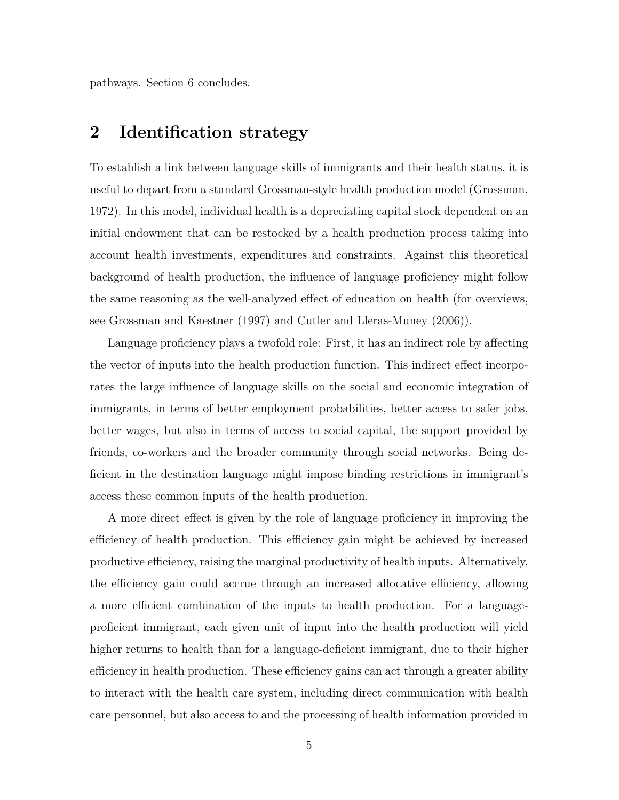pathways. Section 6 concludes.

#### **2 Identification strategy**

To establish a link between language skills of immigrants and their health status, it is useful to depart from a standard Grossman-style health production model (Grossman, 1972). In this model, individual health is a depreciating capital stock dependent on an initial endowment that can be restocked by a health production process taking into account health investments, expenditures and constraints. Against this theoretical background of health production, the influence of language proficiency might follow the same reasoning as the well-analyzed effect of education on health (for overviews, see Grossman and Kaestner (1997) and Cutler and Lleras-Muney (2006)).

Language proficiency plays a twofold role: First, it has an indirect role by affecting the vector of inputs into the health production function. This indirect effect incorporates the large influence of language skills on the social and economic integration of immigrants, in terms of better employment probabilities, better access to safer jobs, better wages, but also in terms of access to social capital, the support provided by friends, co-workers and the broader community through social networks. Being deficient in the destination language might impose binding restrictions in immigrant's access these common inputs of the health production.

A more direct effect is given by the role of language proficiency in improving the efficiency of health production. This efficiency gain might be achieved by increased productive efficiency, raising the marginal productivity of health inputs. Alternatively, the efficiency gain could accrue through an increased allocative efficiency, allowing a more efficient combination of the inputs to health production. For a languageproficient immigrant, each given unit of input into the health production will yield higher returns to health than for a language-deficient immigrant, due to their higher efficiency in health production. These efficiency gains can act through a greater ability to interact with the health care system, including direct communication with health care personnel, but also access to and the processing of health information provided in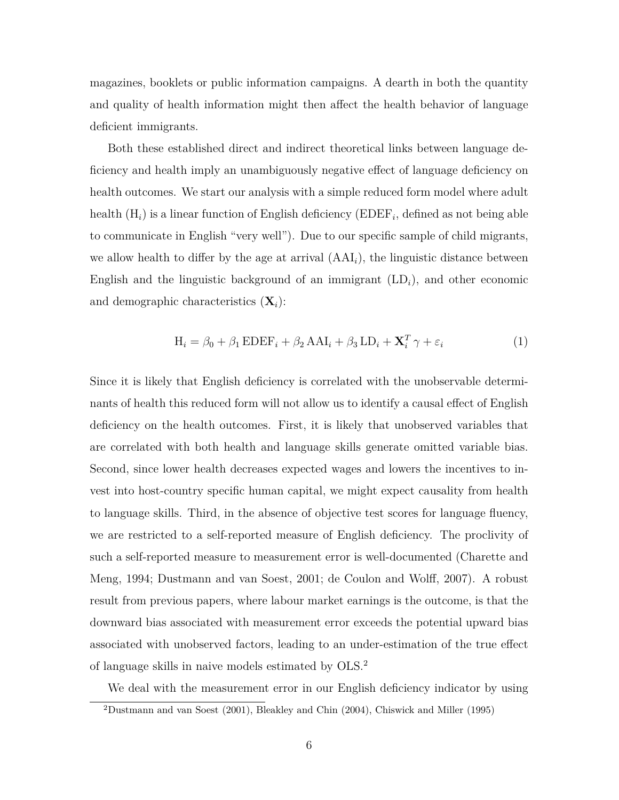magazines, booklets or public information campaigns. A dearth in both the quantity and quality of health information might then affect the health behavior of language deficient immigrants.

Both these established direct and indirect theoretical links between language deficiency and health imply an unambiguously negative effect of language deficiency on health outcomes. We start our analysis with a simple reduced form model where adult health (H*i*) is a linear function of English deficiency (EDEF*<sup>i</sup>* , defined as not being able to communicate in English "very well"). Due to our specific sample of child migrants, we allow health to differ by the age at arrival (AAI*i*), the linguistic distance between English and the linguistic background of an immigrant  $(LD_i)$ , and other economic and demographic characteristics (**X***i*):

$$
H_i = \beta_0 + \beta_1 EDEF_i + \beta_2 AAI_i + \beta_3 LD_i + \mathbf{X}_i^T \gamma + \varepsilon_i
$$
 (1)

Since it is likely that English deficiency is correlated with the unobservable determinants of health this reduced form will not allow us to identify a causal effect of English deficiency on the health outcomes. First, it is likely that unobserved variables that are correlated with both health and language skills generate omitted variable bias. Second, since lower health decreases expected wages and lowers the incentives to invest into host-country specific human capital, we might expect causality from health to language skills. Third, in the absence of objective test scores for language fluency, we are restricted to a self-reported measure of English deficiency. The proclivity of such a self-reported measure to measurement error is well-documented (Charette and Meng, 1994; Dustmann and van Soest, 2001; de Coulon and Wolff, 2007). A robust result from previous papers, where labour market earnings is the outcome, is that the downward bias associated with measurement error exceeds the potential upward bias associated with unobserved factors, leading to an under-estimation of the true effect of language skills in naive models estimated by OLS.<sup>2</sup>

We deal with the measurement error in our English deficiency indicator by using

<sup>2</sup>Dustmann and van Soest (2001), Bleakley and Chin (2004), Chiswick and Miller (1995)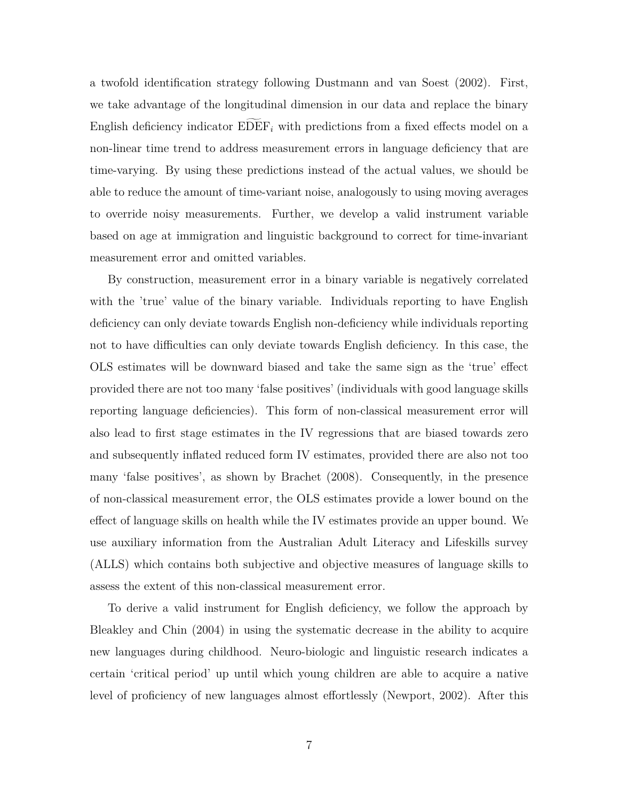a twofold identification strategy following Dustmann and van Soest (2002). First, we take advantage of the longitudinal dimension in our data and replace the binary English deficiency indicator  $EDEF_i$  with predictions from a fixed effects model on a non-linear time trend to address measurement errors in language deficiency that are time-varying. By using these predictions instead of the actual values, we should be able to reduce the amount of time-variant noise, analogously to using moving averages to override noisy measurements. Further, we develop a valid instrument variable based on age at immigration and linguistic background to correct for time-invariant measurement error and omitted variables.

By construction, measurement error in a binary variable is negatively correlated with the 'true' value of the binary variable. Individuals reporting to have English deficiency can only deviate towards English non-deficiency while individuals reporting not to have difficulties can only deviate towards English deficiency. In this case, the OLS estimates will be downward biased and take the same sign as the 'true' effect provided there are not too many 'false positives' (individuals with good language skills reporting language deficiencies). This form of non-classical measurement error will also lead to first stage estimates in the IV regressions that are biased towards zero and subsequently inflated reduced form IV estimates, provided there are also not too many 'false positives', as shown by Brachet (2008). Consequently, in the presence of non-classical measurement error, the OLS estimates provide a lower bound on the effect of language skills on health while the IV estimates provide an upper bound. We use auxiliary information from the Australian Adult Literacy and Lifeskills survey (ALLS) which contains both subjective and objective measures of language skills to assess the extent of this non-classical measurement error.

To derive a valid instrument for English deficiency, we follow the approach by Bleakley and Chin (2004) in using the systematic decrease in the ability to acquire new languages during childhood. Neuro-biologic and linguistic research indicates a certain 'critical period' up until which young children are able to acquire a native level of proficiency of new languages almost effortlessly (Newport, 2002). After this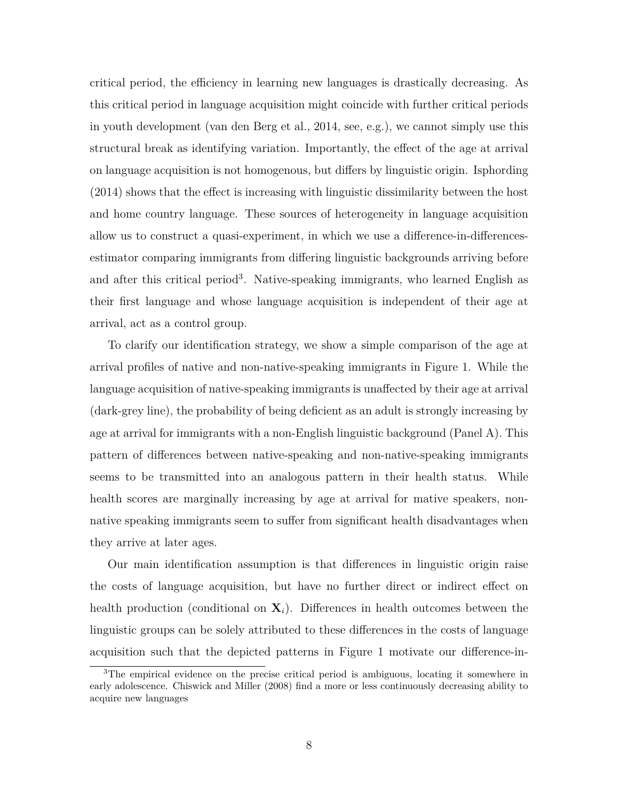critical period, the efficiency in learning new languages is drastically decreasing. As this critical period in language acquisition might coincide with further critical periods in youth development (van den Berg et al., 2014, see, e.g.), we cannot simply use this structural break as identifying variation. Importantly, the effect of the age at arrival on language acquisition is not homogenous, but differs by linguistic origin. Isphording (2014) shows that the effect is increasing with linguistic dissimilarity between the host and home country language. These sources of heterogeneity in language acquisition allow us to construct a quasi-experiment, in which we use a difference-in-differencesestimator comparing immigrants from differing linguistic backgrounds arriving before and after this critical period<sup>3</sup>. Native-speaking immigrants, who learned English as their first language and whose language acquisition is independent of their age at arrival, act as a control group.

To clarify our identification strategy, we show a simple comparison of the age at arrival profiles of native and non-native-speaking immigrants in Figure 1. While the language acquisition of native-speaking immigrants is unaffected by their age at arrival (dark-grey line), the probability of being deficient as an adult is strongly increasing by age at arrival for immigrants with a non-English linguistic background (Panel A). This pattern of differences between native-speaking and non-native-speaking immigrants seems to be transmitted into an analogous pattern in their health status. While health scores are marginally increasing by age at arrival for mative speakers, nonnative speaking immigrants seem to suffer from significant health disadvantages when they arrive at later ages.

Our main identification assumption is that differences in linguistic origin raise the costs of language acquisition, but have no further direct or indirect effect on health production (conditional on  $\mathbf{X}_i$ ). Differences in health outcomes between the linguistic groups can be solely attributed to these differences in the costs of language acquisition such that the depicted patterns in Figure 1 motivate our difference-in-

<sup>3</sup>The empirical evidence on the precise critical period is ambiguous, locating it somewhere in early adolescence. Chiswick and Miller (2008) find a more or less continuously decreasing ability to acquire new languages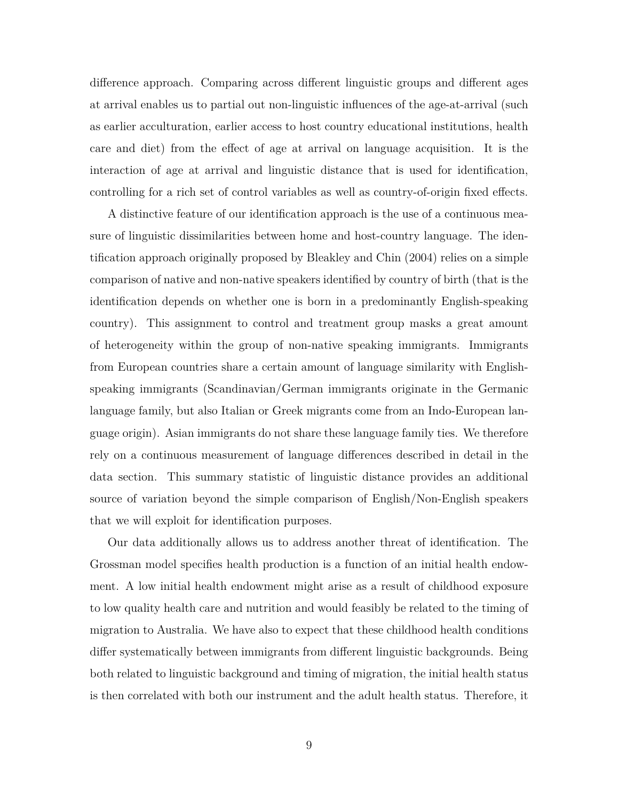difference approach. Comparing across different linguistic groups and different ages at arrival enables us to partial out non-linguistic influences of the age-at-arrival (such as earlier acculturation, earlier access to host country educational institutions, health care and diet) from the effect of age at arrival on language acquisition. It is the interaction of age at arrival and linguistic distance that is used for identification, controlling for a rich set of control variables as well as country-of-origin fixed effects.

A distinctive feature of our identification approach is the use of a continuous measure of linguistic dissimilarities between home and host-country language. The identification approach originally proposed by Bleakley and Chin (2004) relies on a simple comparison of native and non-native speakers identified by country of birth (that is the identification depends on whether one is born in a predominantly English-speaking country). This assignment to control and treatment group masks a great amount of heterogeneity within the group of non-native speaking immigrants. Immigrants from European countries share a certain amount of language similarity with Englishspeaking immigrants (Scandinavian/German immigrants originate in the Germanic language family, but also Italian or Greek migrants come from an Indo-European language origin). Asian immigrants do not share these language family ties. We therefore rely on a continuous measurement of language differences described in detail in the data section. This summary statistic of linguistic distance provides an additional source of variation beyond the simple comparison of English/Non-English speakers that we will exploit for identification purposes.

Our data additionally allows us to address another threat of identification. The Grossman model specifies health production is a function of an initial health endowment. A low initial health endowment might arise as a result of childhood exposure to low quality health care and nutrition and would feasibly be related to the timing of migration to Australia. We have also to expect that these childhood health conditions differ systematically between immigrants from different linguistic backgrounds. Being both related to linguistic background and timing of migration, the initial health status is then correlated with both our instrument and the adult health status. Therefore, it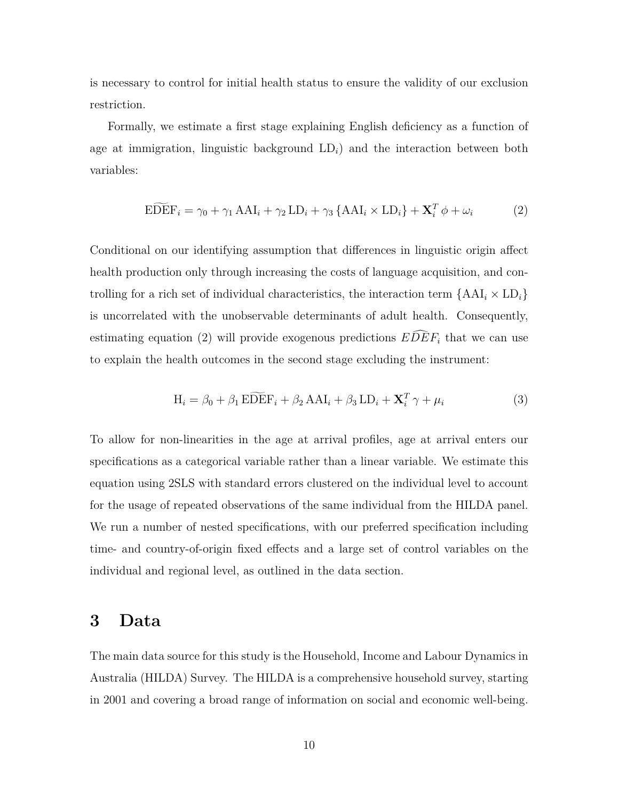is necessary to control for initial health status to ensure the validity of our exclusion restriction.

Formally, we estimate a first stage explaining English deficiency as a function of age at immigration, linguistic background  $LD<sub>i</sub>$ ) and the interaction between both variables:

$$
\widehat{\text{EDEF}}_{i} = \gamma_{0} + \gamma_{1} \text{ AAI}_{i} + \gamma_{2} \text{ LD}_{i} + \gamma_{3} \left\{ \text{AAI}_{i} \times \text{LD}_{i} \right\} + \mathbf{X}_{i}^{T} \phi + \omega_{i}
$$
(2)

Conditional on our identifying assumption that differences in linguistic origin affect health production only through increasing the costs of language acquisition, and controlling for a rich set of individual characteristics, the interaction term  $\{AAI_i \times LD_i\}$ is uncorrelated with the unobservable determinants of adult health. Consequently, estimating equation (2) will provide exogenous predictions  $E\overline{D}\overline{E}F_i$  that we can use to explain the health outcomes in the second stage excluding the instrument:

$$
H_i = \beta_0 + \beta_1 \, \widehat{\text{EDEF}}_i + \beta_2 \, \text{AAI}_i + \beta_3 \, \text{LD}_i + \mathbf{X}_i^T \, \gamma + \mu_i \tag{3}
$$

To allow for non-linearities in the age at arrival profiles, age at arrival enters our specifications as a categorical variable rather than a linear variable. We estimate this equation using 2SLS with standard errors clustered on the individual level to account for the usage of repeated observations of the same individual from the HILDA panel. We run a number of nested specifications, with our preferred specification including time- and country-of-origin fixed effects and a large set of control variables on the individual and regional level, as outlined in the data section.

#### **3 Data**

The main data source for this study is the Household, Income and Labour Dynamics in Australia (HILDA) Survey. The HILDA is a comprehensive household survey, starting in 2001 and covering a broad range of information on social and economic well-being.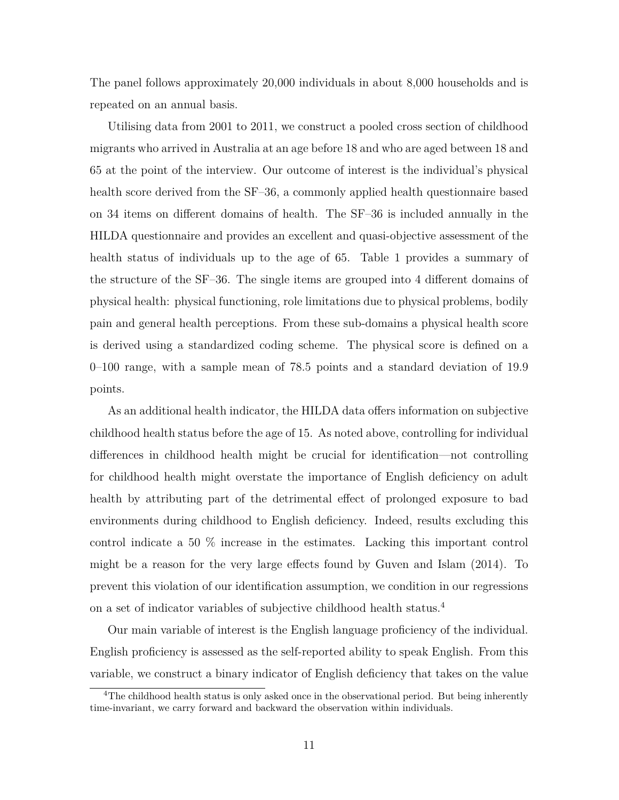The panel follows approximately 20,000 individuals in about 8,000 households and is repeated on an annual basis.

Utilising data from 2001 to 2011, we construct a pooled cross section of childhood migrants who arrived in Australia at an age before 18 and who are aged between 18 and 65 at the point of the interview. Our outcome of interest is the individual's physical health score derived from the SF–36, a commonly applied health questionnaire based on 34 items on different domains of health. The SF–36 is included annually in the HILDA questionnaire and provides an excellent and quasi-objective assessment of the health status of individuals up to the age of 65. Table 1 provides a summary of the structure of the SF–36. The single items are grouped into 4 different domains of physical health: physical functioning, role limitations due to physical problems, bodily pain and general health perceptions. From these sub-domains a physical health score is derived using a standardized coding scheme. The physical score is defined on a 0–100 range, with a sample mean of 78.5 points and a standard deviation of 19.9 points.

As an additional health indicator, the HILDA data offers information on subjective childhood health status before the age of 15. As noted above, controlling for individual differences in childhood health might be crucial for identification—not controlling for childhood health might overstate the importance of English deficiency on adult health by attributing part of the detrimental effect of prolonged exposure to bad environments during childhood to English deficiency. Indeed, results excluding this control indicate a 50 % increase in the estimates. Lacking this important control might be a reason for the very large effects found by Guven and Islam (2014). To prevent this violation of our identification assumption, we condition in our regressions on a set of indicator variables of subjective childhood health status.<sup>4</sup>

Our main variable of interest is the English language proficiency of the individual. English proficiency is assessed as the self-reported ability to speak English. From this variable, we construct a binary indicator of English deficiency that takes on the value

<sup>&</sup>lt;sup>4</sup>The childhood health status is only asked once in the observational period. But being inherently time-invariant, we carry forward and backward the observation within individuals.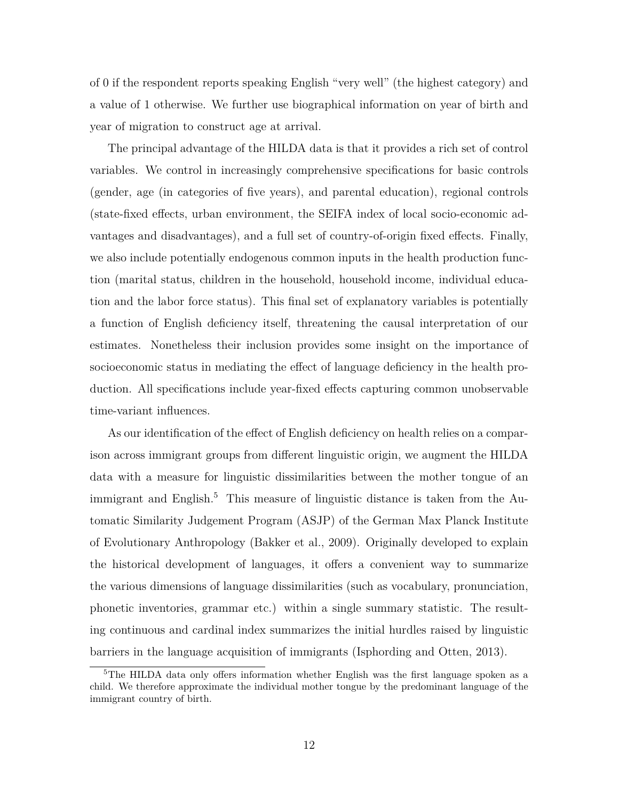of 0 if the respondent reports speaking English "very well" (the highest category) and a value of 1 otherwise. We further use biographical information on year of birth and year of migration to construct age at arrival.

The principal advantage of the HILDA data is that it provides a rich set of control variables. We control in increasingly comprehensive specifications for basic controls (gender, age (in categories of five years), and parental education), regional controls (state-fixed effects, urban environment, the SEIFA index of local socio-economic advantages and disadvantages), and a full set of country-of-origin fixed effects. Finally, we also include potentially endogenous common inputs in the health production function (marital status, children in the household, household income, individual education and the labor force status). This final set of explanatory variables is potentially a function of English deficiency itself, threatening the causal interpretation of our estimates. Nonetheless their inclusion provides some insight on the importance of socioeconomic status in mediating the effect of language deficiency in the health production. All specifications include year-fixed effects capturing common unobservable time-variant influences.

As our identification of the effect of English deficiency on health relies on a comparison across immigrant groups from different linguistic origin, we augment the HILDA data with a measure for linguistic dissimilarities between the mother tongue of an immigrant and English.<sup>5</sup> This measure of linguistic distance is taken from the Automatic Similarity Judgement Program (ASJP) of the German Max Planck Institute of Evolutionary Anthropology (Bakker et al., 2009). Originally developed to explain the historical development of languages, it offers a convenient way to summarize the various dimensions of language dissimilarities (such as vocabulary, pronunciation, phonetic inventories, grammar etc.) within a single summary statistic. The resulting continuous and cardinal index summarizes the initial hurdles raised by linguistic barriers in the language acquisition of immigrants (Isphording and Otten, 2013).

<sup>&</sup>lt;sup>5</sup>The HILDA data only offers information whether English was the first language spoken as a child. We therefore approximate the individual mother tongue by the predominant language of the immigrant country of birth.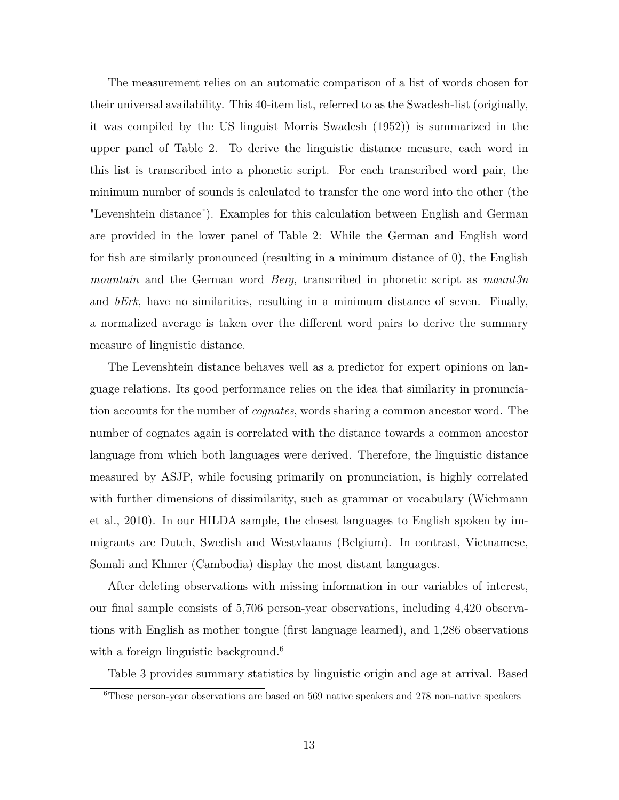The measurement relies on an automatic comparison of a list of words chosen for their universal availability. This 40-item list, referred to as the Swadesh-list (originally, it was compiled by the US linguist Morris Swadesh (1952)) is summarized in the upper panel of Table 2. To derive the linguistic distance measure, each word in this list is transcribed into a phonetic script. For each transcribed word pair, the minimum number of sounds is calculated to transfer the one word into the other (the "Levenshtein distance"). Examples for this calculation between English and German are provided in the lower panel of Table 2: While the German and English word for fish are similarly pronounced (resulting in a minimum distance of 0), the English *mountain* and the German word *Berg*, transcribed in phonetic script as *maunt3n* and *bErk*, have no similarities, resulting in a minimum distance of seven. Finally, a normalized average is taken over the different word pairs to derive the summary measure of linguistic distance.

The Levenshtein distance behaves well as a predictor for expert opinions on language relations. Its good performance relies on the idea that similarity in pronunciation accounts for the number of *cognates*, words sharing a common ancestor word. The number of cognates again is correlated with the distance towards a common ancestor language from which both languages were derived. Therefore, the linguistic distance measured by ASJP, while focusing primarily on pronunciation, is highly correlated with further dimensions of dissimilarity, such as grammar or vocabulary (Wichmann et al., 2010). In our HILDA sample, the closest languages to English spoken by immigrants are Dutch, Swedish and Westvlaams (Belgium). In contrast, Vietnamese, Somali and Khmer (Cambodia) display the most distant languages.

After deleting observations with missing information in our variables of interest, our final sample consists of 5,706 person-year observations, including 4,420 observations with English as mother tongue (first language learned), and 1,286 observations with a foreign linguistic background.<sup>6</sup>

Table 3 provides summary statistics by linguistic origin and age at arrival. Based

<sup>6</sup>These person-year observations are based on 569 native speakers and 278 non-native speakers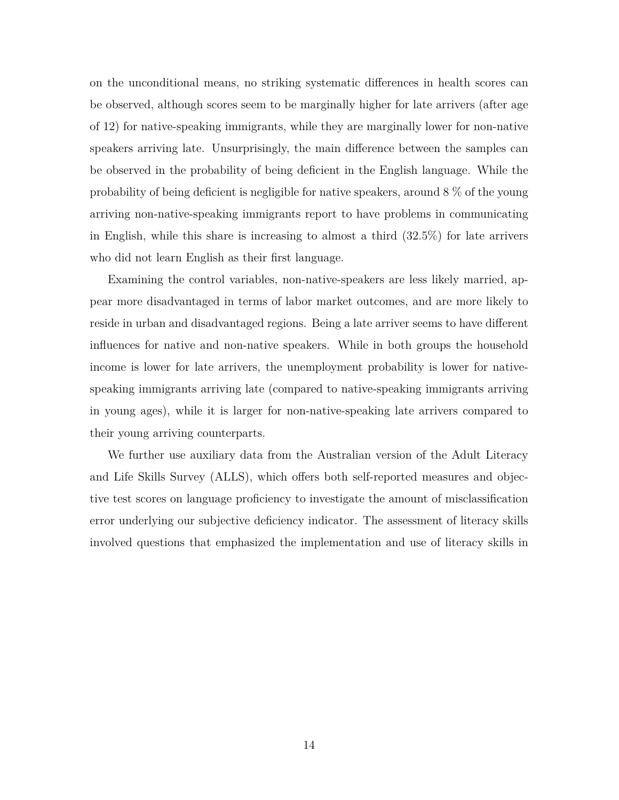on the unconditional means, no striking systematic differences in health scores can be observed, although scores seem to be marginally higher for late arrivers (after age of 12) for native-speaking immigrants, while they are marginally lower for non-native speakers arriving late. Unsurprisingly, the main difference between the samples can be observed in the probability of being deficient in the English language. While the probability of being deficient is negligible for native speakers, around 8 % of the young arriving non-native-speaking immigrants report to have problems in communicating in English, while this share is increasing to almost a third  $(32.5\%)$  for late arrivers who did not learn English as their first language.

Examining the control variables, non-native-speakers are less likely married, appear more disadvantaged in terms of labor market outcomes, and are more likely to reside in urban and disadvantaged regions. Being a late arriver seems to have different influences for native and non-native speakers. While in both groups the household income is lower for late arrivers, the unemployment probability is lower for nativespeaking immigrants arriving late (compared to native-speaking immigrants arriving in young ages), while it is larger for non-native-speaking late arrivers compared to their young arriving counterparts.

We further use auxiliary data from the Australian version of the Adult Literacy and Life Skills Survey (ALLS), which offers both self-reported measures and objective test scores on language proficiency to investigate the amount of misclassification error underlying our subjective deficiency indicator. The assessment of literacy skills involved questions that emphasized the implementation and use of literacy skills in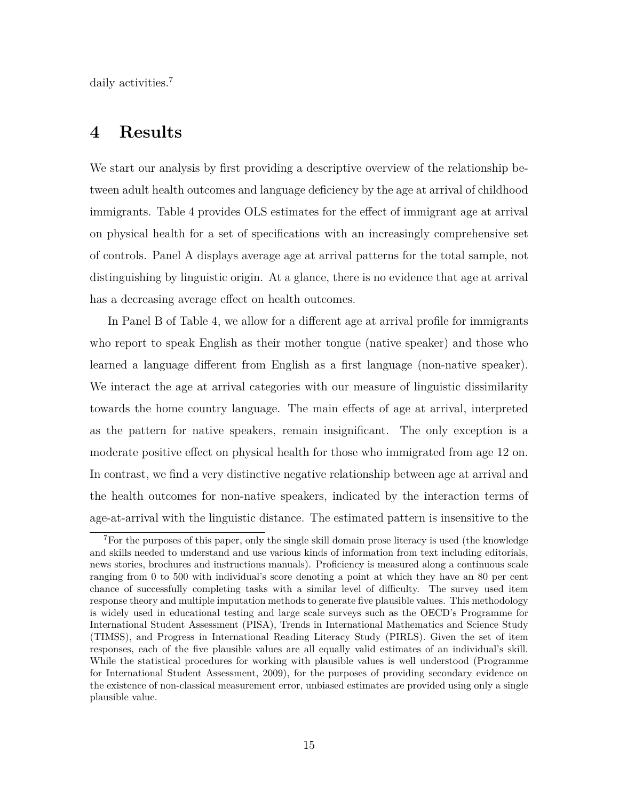daily activities.<sup>7</sup>

#### **4 Results**

We start our analysis by first providing a descriptive overview of the relationship between adult health outcomes and language deficiency by the age at arrival of childhood immigrants. Table 4 provides OLS estimates for the effect of immigrant age at arrival on physical health for a set of specifications with an increasingly comprehensive set of controls. Panel A displays average age at arrival patterns for the total sample, not distinguishing by linguistic origin. At a glance, there is no evidence that age at arrival has a decreasing average effect on health outcomes.

In Panel B of Table 4, we allow for a different age at arrival profile for immigrants who report to speak English as their mother tongue (native speaker) and those who learned a language different from English as a first language (non-native speaker). We interact the age at arrival categories with our measure of linguistic dissimilarity towards the home country language. The main effects of age at arrival, interpreted as the pattern for native speakers, remain insignificant. The only exception is a moderate positive effect on physical health for those who immigrated from age 12 on. In contrast, we find a very distinctive negative relationship between age at arrival and the health outcomes for non-native speakers, indicated by the interaction terms of age-at-arrival with the linguistic distance. The estimated pattern is insensitive to the

<sup>7</sup>For the purposes of this paper, only the single skill domain prose literacy is used (the knowledge and skills needed to understand and use various kinds of information from text including editorials, news stories, brochures and instructions manuals). Proficiency is measured along a continuous scale ranging from 0 to 500 with individual's score denoting a point at which they have an 80 per cent chance of successfully completing tasks with a similar level of difficulty. The survey used item response theory and multiple imputation methods to generate five plausible values. This methodology is widely used in educational testing and large scale surveys such as the OECD's Programme for International Student Assessment (PISA), Trends in International Mathematics and Science Study (TIMSS), and Progress in International Reading Literacy Study (PIRLS). Given the set of item responses, each of the five plausible values are all equally valid estimates of an individual's skill. While the statistical procedures for working with plausible values is well understood (Programme for International Student Assessment, 2009), for the purposes of providing secondary evidence on the existence of non-classical measurement error, unbiased estimates are provided using only a single plausible value.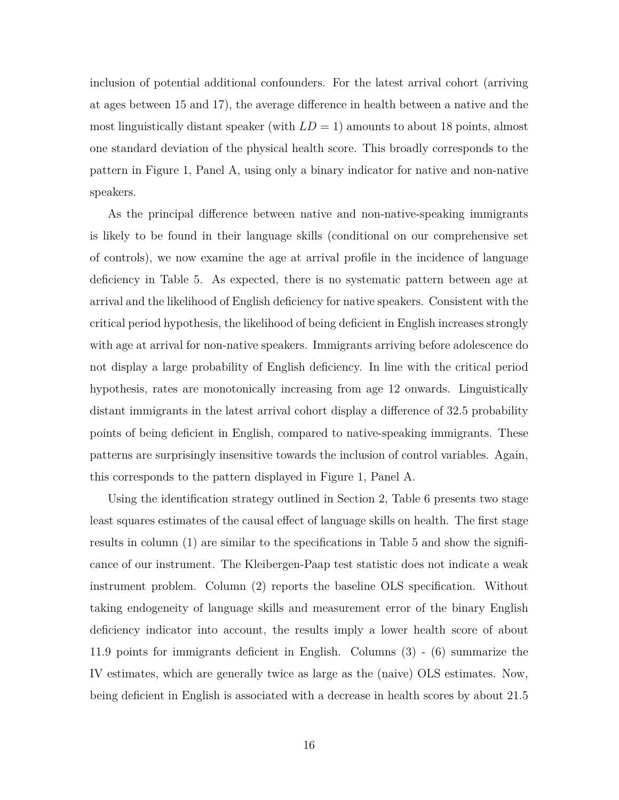inclusion of potential additional confounders. For the latest arrival cohort (arriving at ages between 15 and 17), the average difference in health between a native and the most linguistically distant speaker (with  $LD = 1$ ) amounts to about 18 points, almost one standard deviation of the physical health score. This broadly corresponds to the pattern in Figure 1, Panel A, using only a binary indicator for native and non-native speakers.

As the principal difference between native and non-native-speaking immigrants is likely to be found in their language skills (conditional on our comprehensive set of controls), we now examine the age at arrival profile in the incidence of language deficiency in Table 5. As expected, there is no systematic pattern between age at arrival and the likelihood of English deficiency for native speakers. Consistent with the critical period hypothesis, the likelihood of being deficient in English increases strongly with age at arrival for non-native speakers. Immigrants arriving before adolescence do not display a large probability of English deficiency. In line with the critical period hypothesis, rates are monotonically increasing from age 12 onwards. Linguistically distant immigrants in the latest arrival cohort display a difference of 32.5 probability points of being deficient in English, compared to native-speaking immigrants. These patterns are surprisingly insensitive towards the inclusion of control variables. Again, this corresponds to the pattern displayed in Figure 1, Panel A.

Using the identification strategy outlined in Section 2, Table 6 presents two stage least squares estimates of the causal effect of language skills on health. The first stage results in column (1) are similar to the specifications in Table 5 and show the significance of our instrument. The Kleibergen-Paap test statistic does not indicate a weak instrument problem. Column (2) reports the baseline OLS specification. Without taking endogeneity of language skills and measurement error of the binary English deficiency indicator into account, the results imply a lower health score of about 11.9 points for immigrants deficient in English. Columns (3) - (6) summarize the IV estimates, which are generally twice as large as the (naive) OLS estimates. Now, being deficient in English is associated with a decrease in health scores by about 21.5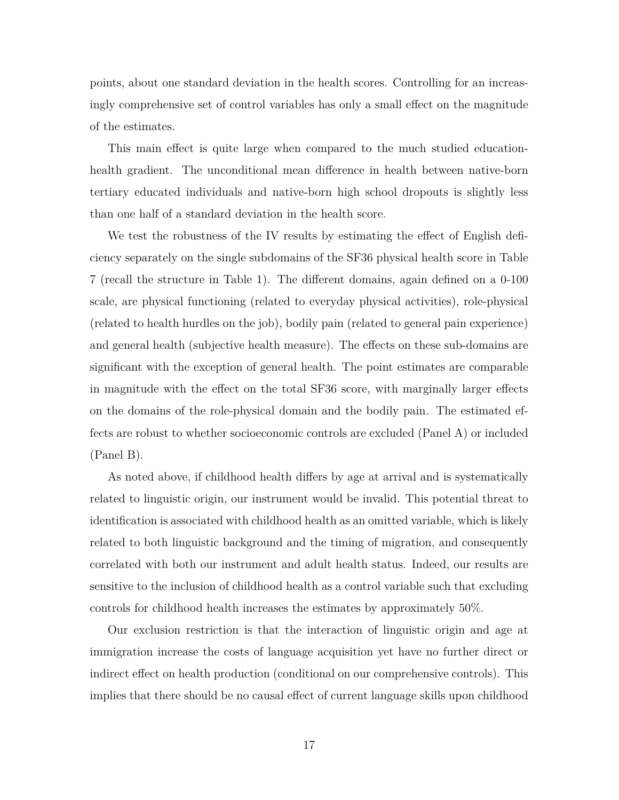points, about one standard deviation in the health scores. Controlling for an increasingly comprehensive set of control variables has only a small effect on the magnitude of the estimates.

This main effect is quite large when compared to the much studied educationhealth gradient. The unconditional mean difference in health between native-born tertiary educated individuals and native-born high school dropouts is slightly less than one half of a standard deviation in the health score.

We test the robustness of the IV results by estimating the effect of English deficiency separately on the single subdomains of the SF36 physical health score in Table 7 (recall the structure in Table 1). The different domains, again defined on a 0-100 scale, are physical functioning (related to everyday physical activities), role-physical (related to health hurdles on the job), bodily pain (related to general pain experience) and general health (subjective health measure). The effects on these sub-domains are significant with the exception of general health. The point estimates are comparable in magnitude with the effect on the total SF36 score, with marginally larger effects on the domains of the role-physical domain and the bodily pain. The estimated effects are robust to whether socioeconomic controls are excluded (Panel A) or included (Panel B).

As noted above, if childhood health differs by age at arrival and is systematically related to linguistic origin, our instrument would be invalid. This potential threat to identification is associated with childhood health as an omitted variable, which is likely related to both linguistic background and the timing of migration, and consequently correlated with both our instrument and adult health status. Indeed, our results are sensitive to the inclusion of childhood health as a control variable such that excluding controls for childhood health increases the estimates by approximately 50%.

Our exclusion restriction is that the interaction of linguistic origin and age at immigration increase the costs of language acquisition yet have no further direct or indirect effect on health production (conditional on our comprehensive controls). This implies that there should be no causal effect of current language skills upon childhood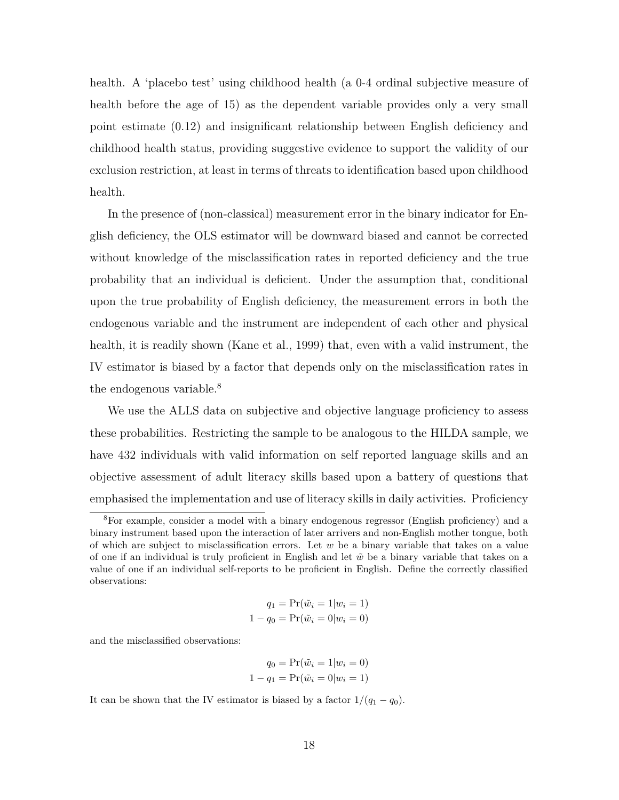health. A 'placebo test' using childhood health (a 0-4 ordinal subjective measure of health before the age of 15) as the dependent variable provides only a very small point estimate (0*.*12) and insignificant relationship between English deficiency and childhood health status, providing suggestive evidence to support the validity of our exclusion restriction, at least in terms of threats to identification based upon childhood health.

In the presence of (non-classical) measurement error in the binary indicator for English deficiency, the OLS estimator will be downward biased and cannot be corrected without knowledge of the misclassification rates in reported deficiency and the true probability that an individual is deficient. Under the assumption that, conditional upon the true probability of English deficiency, the measurement errors in both the endogenous variable and the instrument are independent of each other and physical health, it is readily shown (Kane et al., 1999) that, even with a valid instrument, the IV estimator is biased by a factor that depends only on the misclassification rates in the endogenous variable.<sup>8</sup>

We use the ALLS data on subjective and objective language proficiency to assess these probabilities. Restricting the sample to be analogous to the HILDA sample, we have 432 individuals with valid information on self reported language skills and an objective assessment of adult literacy skills based upon a battery of questions that emphasised the implementation and use of literacy skills in daily activities. Proficiency

$$
q_1 = \Pr(\tilde{w}_i = 1 | w_i = 1)
$$

$$
1 - q_0 = \Pr(\tilde{w}_i = 0 | w_i = 0)
$$

and the misclassified observations:

$$
q_0 = \Pr(\tilde{w}_i = 1 | w_i = 0)
$$
  

$$
1 - q_1 = \Pr(\tilde{w}_i = 0 | w_i = 1)
$$

It can be shown that the IV estimator is biased by a factor  $1/(q_1 - q_0)$ .

<sup>8</sup>For example, consider a model with a binary endogenous regressor (English proficiency) and a binary instrument based upon the interaction of later arrivers and non-English mother tongue, both of which are subject to misclassification errors. Let *w* be a binary variable that takes on a value of one if an individual is truly proficient in English and let  $\tilde{w}$  be a binary variable that takes on a value of one if an individual self-reports to be proficient in English. Define the correctly classified observations: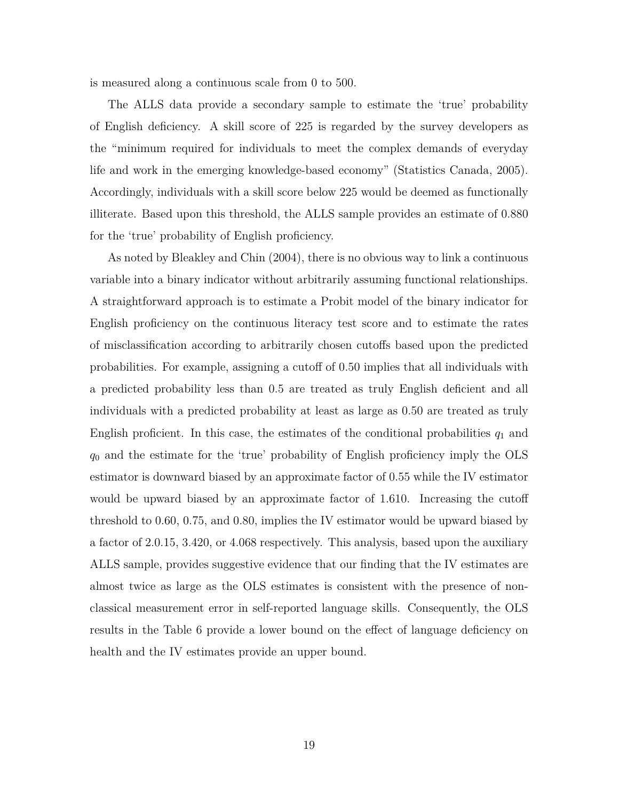is measured along a continuous scale from 0 to 500.

The ALLS data provide a secondary sample to estimate the 'true' probability of English deficiency. A skill score of 225 is regarded by the survey developers as the "minimum required for individuals to meet the complex demands of everyday life and work in the emerging knowledge-based economy" (Statistics Canada, 2005). Accordingly, individuals with a skill score below 225 would be deemed as functionally illiterate. Based upon this threshold, the ALLS sample provides an estimate of 0.880 for the 'true' probability of English proficiency.

As noted by Bleakley and Chin (2004), there is no obvious way to link a continuous variable into a binary indicator without arbitrarily assuming functional relationships. A straightforward approach is to estimate a Probit model of the binary indicator for English proficiency on the continuous literacy test score and to estimate the rates of misclassification according to arbitrarily chosen cutoffs based upon the predicted probabilities. For example, assigning a cutoff of 0.50 implies that all individuals with a predicted probability less than 0.5 are treated as truly English deficient and all individuals with a predicted probability at least as large as 0.50 are treated as truly English proficient. In this case, the estimates of the conditional probabilities  $q_1$  and *q*<sup>0</sup> and the estimate for the 'true' probability of English proficiency imply the OLS estimator is downward biased by an approximate factor of 0.55 while the IV estimator would be upward biased by an approximate factor of 1.610. Increasing the cutoff threshold to 0.60, 0.75, and 0.80, implies the IV estimator would be upward biased by a factor of 2.0.15, 3.420, or 4.068 respectively. This analysis, based upon the auxiliary ALLS sample, provides suggestive evidence that our finding that the IV estimates are almost twice as large as the OLS estimates is consistent with the presence of nonclassical measurement error in self-reported language skills. Consequently, the OLS results in the Table 6 provide a lower bound on the effect of language deficiency on health and the IV estimates provide an upper bound.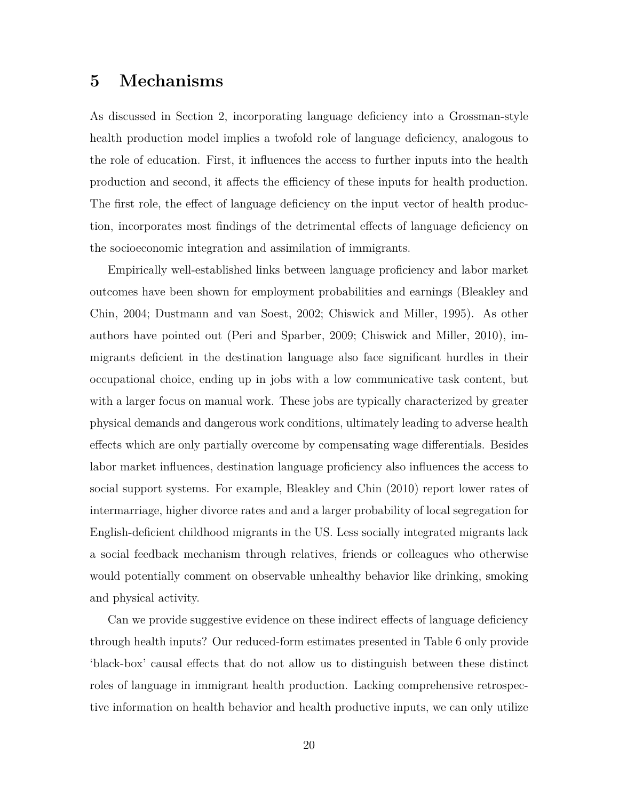#### **5 Mechanisms**

As discussed in Section 2, incorporating language deficiency into a Grossman-style health production model implies a twofold role of language deficiency, analogous to the role of education. First, it influences the access to further inputs into the health production and second, it affects the efficiency of these inputs for health production. The first role, the effect of language deficiency on the input vector of health production, incorporates most findings of the detrimental effects of language deficiency on the socioeconomic integration and assimilation of immigrants.

Empirically well-established links between language proficiency and labor market outcomes have been shown for employment probabilities and earnings (Bleakley and Chin, 2004; Dustmann and van Soest, 2002; Chiswick and Miller, 1995). As other authors have pointed out (Peri and Sparber, 2009; Chiswick and Miller, 2010), immigrants deficient in the destination language also face significant hurdles in their occupational choice, ending up in jobs with a low communicative task content, but with a larger focus on manual work. These jobs are typically characterized by greater physical demands and dangerous work conditions, ultimately leading to adverse health effects which are only partially overcome by compensating wage differentials. Besides labor market influences, destination language proficiency also influences the access to social support systems. For example, Bleakley and Chin (2010) report lower rates of intermarriage, higher divorce rates and and a larger probability of local segregation for English-deficient childhood migrants in the US. Less socially integrated migrants lack a social feedback mechanism through relatives, friends or colleagues who otherwise would potentially comment on observable unhealthy behavior like drinking, smoking and physical activity.

Can we provide suggestive evidence on these indirect effects of language deficiency through health inputs? Our reduced-form estimates presented in Table 6 only provide 'black-box' causal effects that do not allow us to distinguish between these distinct roles of language in immigrant health production. Lacking comprehensive retrospective information on health behavior and health productive inputs, we can only utilize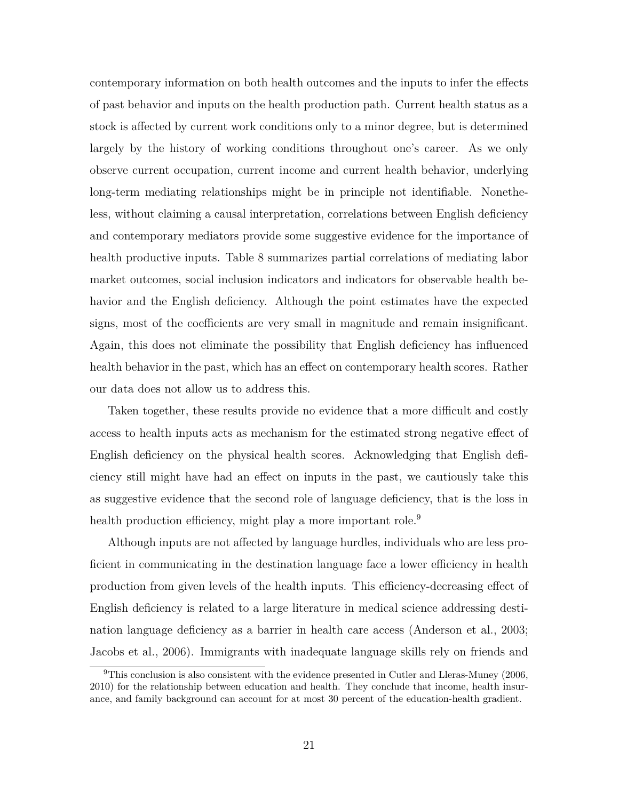contemporary information on both health outcomes and the inputs to infer the effects of past behavior and inputs on the health production path. Current health status as a stock is affected by current work conditions only to a minor degree, but is determined largely by the history of working conditions throughout one's career. As we only observe current occupation, current income and current health behavior, underlying long-term mediating relationships might be in principle not identifiable. Nonetheless, without claiming a causal interpretation, correlations between English deficiency and contemporary mediators provide some suggestive evidence for the importance of health productive inputs. Table 8 summarizes partial correlations of mediating labor market outcomes, social inclusion indicators and indicators for observable health behavior and the English deficiency. Although the point estimates have the expected signs, most of the coefficients are very small in magnitude and remain insignificant. Again, this does not eliminate the possibility that English deficiency has influenced health behavior in the past, which has an effect on contemporary health scores. Rather our data does not allow us to address this.

Taken together, these results provide no evidence that a more difficult and costly access to health inputs acts as mechanism for the estimated strong negative effect of English deficiency on the physical health scores. Acknowledging that English deficiency still might have had an effect on inputs in the past, we cautiously take this as suggestive evidence that the second role of language deficiency, that is the loss in health production efficiency, might play a more important role.<sup>9</sup>

Although inputs are not affected by language hurdles, individuals who are less proficient in communicating in the destination language face a lower efficiency in health production from given levels of the health inputs. This efficiency-decreasing effect of English deficiency is related to a large literature in medical science addressing destination language deficiency as a barrier in health care access (Anderson et al., 2003; Jacobs et al., 2006). Immigrants with inadequate language skills rely on friends and

<sup>9</sup>This conclusion is also consistent with the evidence presented in Cutler and Lleras-Muney (2006, 2010) for the relationship between education and health. They conclude that income, health insurance, and family background can account for at most 30 percent of the education-health gradient.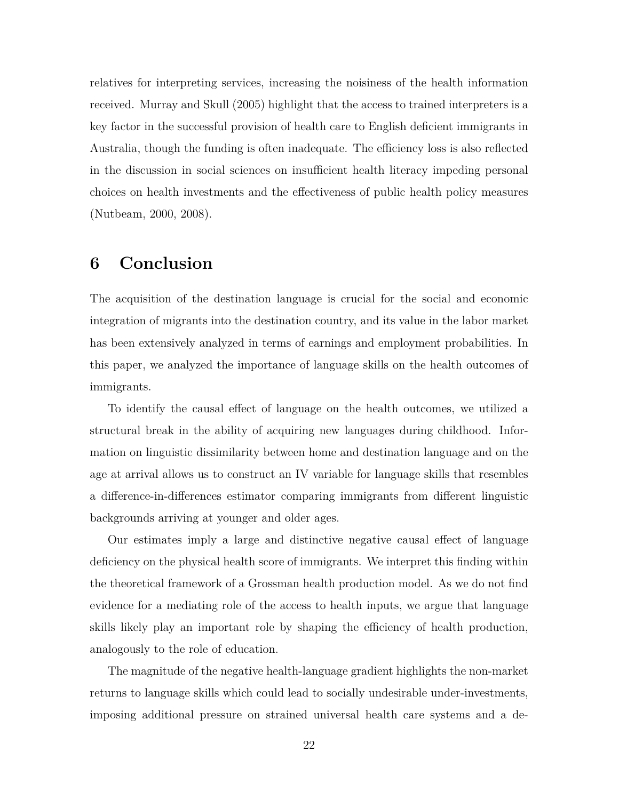relatives for interpreting services, increasing the noisiness of the health information received. Murray and Skull (2005) highlight that the access to trained interpreters is a key factor in the successful provision of health care to English deficient immigrants in Australia, though the funding is often inadequate. The efficiency loss is also reflected in the discussion in social sciences on insufficient health literacy impeding personal choices on health investments and the effectiveness of public health policy measures (Nutbeam, 2000, 2008).

## **6 Conclusion**

The acquisition of the destination language is crucial for the social and economic integration of migrants into the destination country, and its value in the labor market has been extensively analyzed in terms of earnings and employment probabilities. In this paper, we analyzed the importance of language skills on the health outcomes of immigrants.

To identify the causal effect of language on the health outcomes, we utilized a structural break in the ability of acquiring new languages during childhood. Information on linguistic dissimilarity between home and destination language and on the age at arrival allows us to construct an IV variable for language skills that resembles a difference-in-differences estimator comparing immigrants from different linguistic backgrounds arriving at younger and older ages.

Our estimates imply a large and distinctive negative causal effect of language deficiency on the physical health score of immigrants. We interpret this finding within the theoretical framework of a Grossman health production model. As we do not find evidence for a mediating role of the access to health inputs, we argue that language skills likely play an important role by shaping the efficiency of health production, analogously to the role of education.

The magnitude of the negative health-language gradient highlights the non-market returns to language skills which could lead to socially undesirable under-investments, imposing additional pressure on strained universal health care systems and a de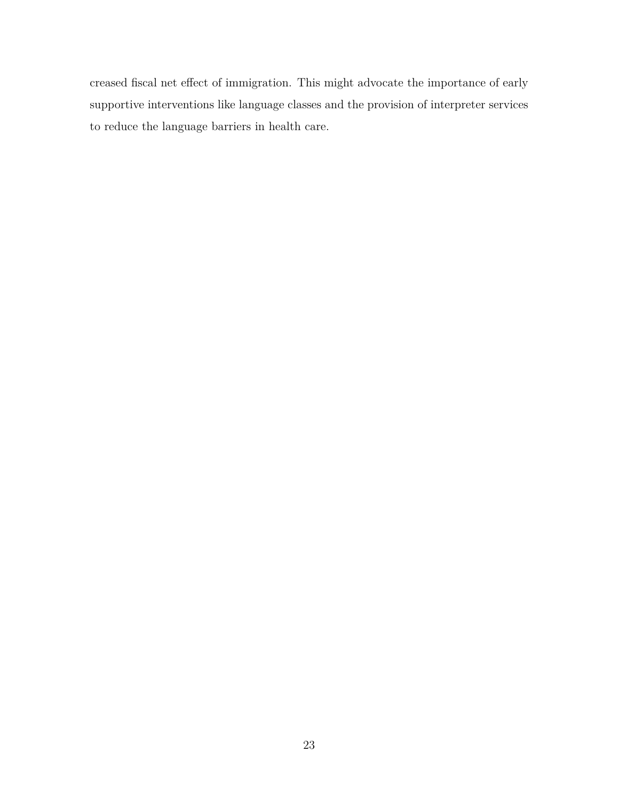creased fiscal net effect of immigration. This might advocate the importance of early supportive interventions like language classes and the provision of interpreter services to reduce the language barriers in health care.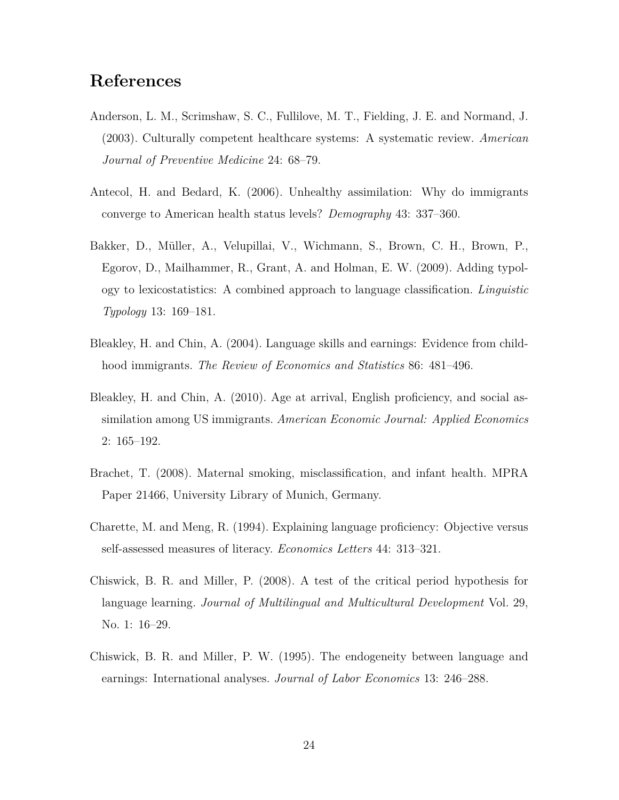#### **References**

- Anderson, L. M., Scrimshaw, S. C., Fullilove, M. T., Fielding, J. E. and Normand, J. (2003). Culturally competent healthcare systems: A systematic review. *American Journal of Preventive Medicine* 24: 68–79.
- Antecol, H. and Bedard, K. (2006). Unhealthy assimilation: Why do immigrants converge to American health status levels? *Demography* 43: 337–360.
- Bakker, D., Müller, A., Velupillai, V., Wichmann, S., Brown, C. H., Brown, P., Egorov, D., Mailhammer, R., Grant, A. and Holman, E. W. (2009). Adding typology to lexicostatistics: A combined approach to language classification. *Linguistic Typology* 13: 169–181.
- Bleakley, H. and Chin, A. (2004). Language skills and earnings: Evidence from childhood immigrants. *The Review of Economics and Statistics* 86: 481–496.
- Bleakley, H. and Chin, A. (2010). Age at arrival, English proficiency, and social assimilation among US immigrants. *American Economic Journal: Applied Economics* 2: 165–192.
- Brachet, T. (2008). Maternal smoking, misclassification, and infant health. MPRA Paper 21466, University Library of Munich, Germany.
- Charette, M. and Meng, R. (1994). Explaining language proficiency: Objective versus self-assessed measures of literacy. *Economics Letters* 44: 313–321.
- Chiswick, B. R. and Miller, P. (2008). A test of the critical period hypothesis for language learning. *Journal of Multilingual and Multicultural Development* Vol. 29, No. 1: 16–29.
- Chiswick, B. R. and Miller, P. W. (1995). The endogeneity between language and earnings: International analyses. *Journal of Labor Economics* 13: 246–288.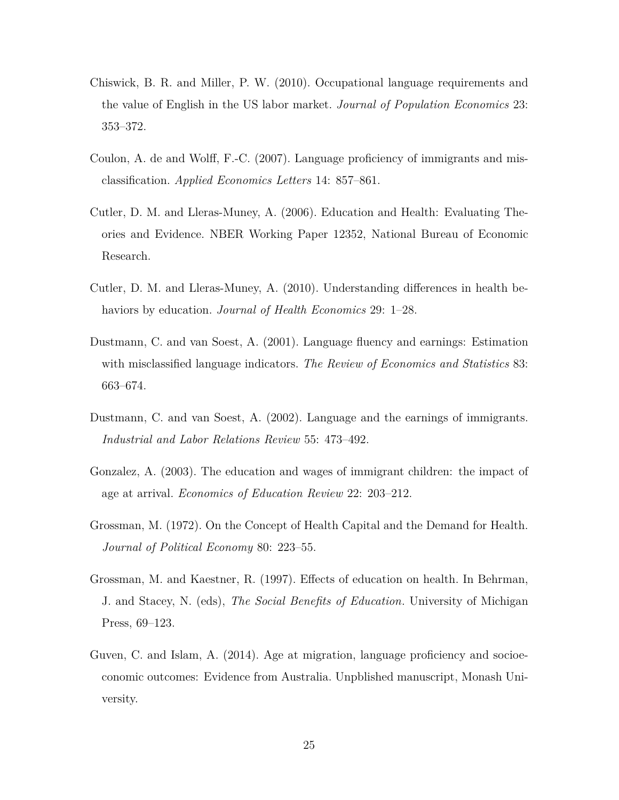- Chiswick, B. R. and Miller, P. W. (2010). Occupational language requirements and the value of English in the US labor market. *Journal of Population Economics* 23: 353–372.
- Coulon, A. de and Wolff, F.-C. (2007). Language proficiency of immigrants and misclassification. *Applied Economics Letters* 14: 857–861.
- Cutler, D. M. and Lleras-Muney, A. (2006). Education and Health: Evaluating Theories and Evidence. NBER Working Paper 12352, National Bureau of Economic Research.
- Cutler, D. M. and Lleras-Muney, A. (2010). Understanding differences in health behaviors by education. *Journal of Health Economics* 29: 1–28.
- Dustmann, C. and van Soest, A. (2001). Language fluency and earnings: Estimation with misclassified language indicators. *The Review of Economics and Statistics* 83: 663–674.
- Dustmann, C. and van Soest, A. (2002). Language and the earnings of immigrants. *Industrial and Labor Relations Review* 55: 473–492.
- Gonzalez, A. (2003). The education and wages of immigrant children: the impact of age at arrival. *Economics of Education Review* 22: 203–212.
- Grossman, M. (1972). On the Concept of Health Capital and the Demand for Health. *Journal of Political Economy* 80: 223–55.
- Grossman, M. and Kaestner, R. (1997). Effects of education on health. In Behrman, J. and Stacey, N. (eds), *The Social Benefits of Education*. University of Michigan Press, 69–123.
- Guven, C. and Islam, A. (2014). Age at migration, language proficiency and socioeconomic outcomes: Evidence from Australia. Unpblished manuscript, Monash University.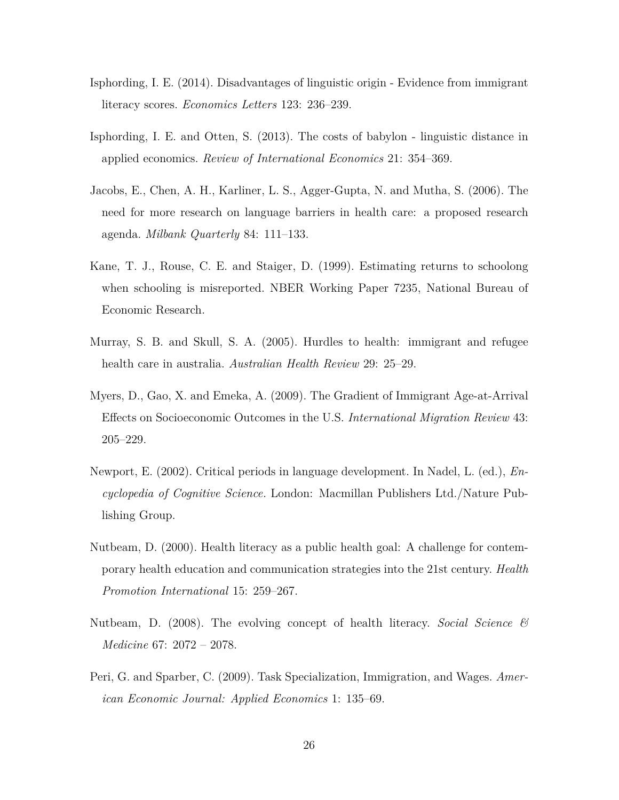- Isphording, I. E. (2014). Disadvantages of linguistic origin Evidence from immigrant literacy scores. *Economics Letters* 123: 236–239.
- Isphording, I. E. and Otten, S. (2013). The costs of babylon linguistic distance in applied economics. *Review of International Economics* 21: 354–369.
- Jacobs, E., Chen, A. H., Karliner, L. S., Agger-Gupta, N. and Mutha, S. (2006). The need for more research on language barriers in health care: a proposed research agenda. *Milbank Quarterly* 84: 111–133.
- Kane, T. J., Rouse, C. E. and Staiger, D. (1999). Estimating returns to schoolong when schooling is misreported. NBER Working Paper 7235, National Bureau of Economic Research.
- Murray, S. B. and Skull, S. A. (2005). Hurdles to health: immigrant and refugee health care in australia. *Australian Health Review* 29: 25–29.
- Myers, D., Gao, X. and Emeka, A. (2009). The Gradient of Immigrant Age-at-Arrival Effects on Socioeconomic Outcomes in the U.S. *International Migration Review* 43: 205–229.
- Newport, E. (2002). Critical periods in language development. In Nadel, L. (ed.), *Encyclopedia of Cognitive Science*. London: Macmillan Publishers Ltd./Nature Publishing Group.
- Nutbeam, D. (2000). Health literacy as a public health goal: A challenge for contemporary health education and communication strategies into the 21st century. *Health Promotion International* 15: 259–267.
- Nutbeam, D. (2008). The evolving concept of health literacy. *Social Science & Medicine* 67: 2072 – 2078.
- Peri, G. and Sparber, C. (2009). Task Specialization, Immigration, and Wages. *American Economic Journal: Applied Economics* 1: 135–69.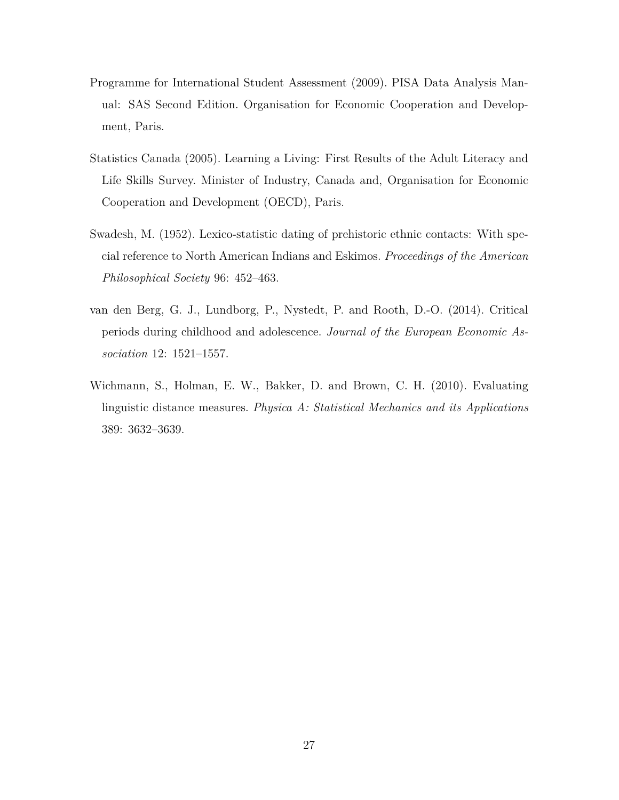- Programme for International Student Assessment (2009). PISA Data Analysis Manual: SAS Second Edition. Organisation for Economic Cooperation and Development, Paris.
- Statistics Canada (2005). Learning a Living: First Results of the Adult Literacy and Life Skills Survey. Minister of Industry, Canada and, Organisation for Economic Cooperation and Development (OECD), Paris.
- Swadesh, M. (1952). Lexico-statistic dating of prehistoric ethnic contacts: With special reference to North American Indians and Eskimos. *Proceedings of the American Philosophical Society* 96: 452–463.
- van den Berg, G. J., Lundborg, P., Nystedt, P. and Rooth, D.-O. (2014). Critical periods during childhood and adolescence. *Journal of the European Economic Association* 12: 1521–1557.
- Wichmann, S., Holman, E. W., Bakker, D. and Brown, C. H. (2010). Evaluating linguistic distance measures. *Physica A: Statistical Mechanics and its Applications* 389: 3632–3639.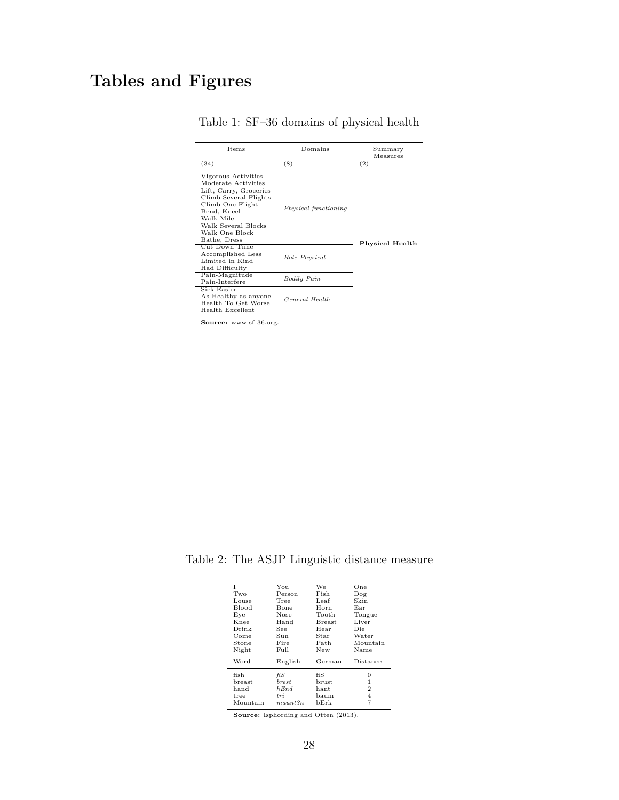## **Tables and Figures**

| <b>Items</b>                                                                                                                                                                                                            | Domains              | Summary<br>Measures |
|-------------------------------------------------------------------------------------------------------------------------------------------------------------------------------------------------------------------------|----------------------|---------------------|
| (34)                                                                                                                                                                                                                    | (8)                  | (2)                 |
| Vigorous Activities<br>Moderate Activities<br>Lift, Carry, Groceries<br>Climb Several Flights<br>Climb One Flight<br>Bend, Kneel<br>Walk Mile<br>Walk Several Blocks<br>Walk One Block<br>Bathe, Dress<br>Cut Down Time | Physical functioning | Physical Health     |
| Accomplished Less<br>Limited in Kind<br>Had Difficulty                                                                                                                                                                  | Role-Physical        |                     |
| Pain-Magnitude<br>Pain-Interfere                                                                                                                                                                                        | <b>Bodily Pain</b>   |                     |
| Sick Easier<br>As Healthy as anyone<br>Health To Get Worse<br>Health Excellent                                                                                                                                          | General Health       |                     |

Table 1: SF–36 domains of physical health

**Source:** www.sf-36.org.

Table 2: The ASJP Linguistic distance measure

| T<br>Two<br>Louse<br>Blood<br>Eye<br>Knee<br>Drink<br>Come<br>Stone<br>Night | You<br>Person<br>Tree<br>Bone<br>Nose<br>Hand<br>See<br>Sun<br>Fire<br>Full | We<br>Fish<br>Leaf<br>Horn<br>Tooth<br><b>Breast</b><br>Hear<br>Star<br>Path<br>New | One<br>Dog<br>Skin<br>Ear<br>Tongue<br>Liver<br>Die<br>Water<br>Mountain<br>Name |
|------------------------------------------------------------------------------|-----------------------------------------------------------------------------|-------------------------------------------------------------------------------------|----------------------------------------------------------------------------------|
| Word                                                                         | English                                                                     | German                                                                              | Distance                                                                         |
| fish<br>breast<br>hand<br>tree<br>Mountain                                   | fiS<br>brest<br>hEnd<br>tri<br>$m$ aunt $3n$                                | fiS<br>brust<br>hant<br>baum<br>bErk                                                | 0<br>1<br>$\overline{2}$<br>4                                                    |

**Source:** Isphording and Otten (2013).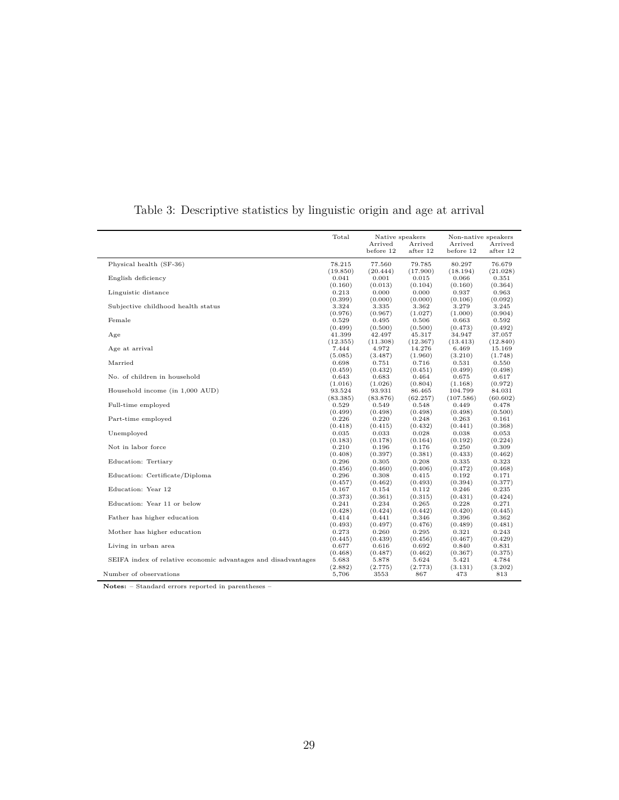|                                                               | Total                        | Native speakers              |                             | Non-native speakers          |                             |
|---------------------------------------------------------------|------------------------------|------------------------------|-----------------------------|------------------------------|-----------------------------|
|                                                               |                              | Arrived<br>before 12         | Arrived<br>after 12         | Arrived<br>before 12         | Arrived<br>after 12         |
| Physical health (SF-36)                                       | 78.215                       | 77.560                       | 79.785                      | 80.297                       | 76.679                      |
| English deficiency                                            | (19.850)                     | (20.444)                     | (17.900)                    | (18.194)                     | (21.028)                    |
|                                                               | 0.041                        | 0.001                        | 0.015                       | 0.066                        | 0.351                       |
| Linguistic distance                                           | (0.160)                      | (0.013)                      | (0.104)                     | (0.160)                      | (0.364)                     |
|                                                               | 0.213                        | 0.000                        | 0.000                       | 0.937                        | 0.963                       |
| Subjective childhood health status                            | (0.399)                      | (0.000)                      | (0.000)                     | (0.106)                      | (0.092)                     |
|                                                               | 3.324                        | 3.335                        | 3.362                       | 3.279                        | 3.245                       |
| Female                                                        | (0.976)                      | (0.967)                      | (1.027)                     | (1.000)                      | (0.904)                     |
|                                                               | 0.529                        | 0.495                        | 0.506                       | 0.663                        | 0.592                       |
| Age                                                           | (0.499)                      | (0.500)                      | (0.500)                     | (0.473)                      | (0.492)                     |
|                                                               | 41.399                       | 42.497                       | 45.317                      | 34.947                       | 37.057                      |
| Age at arrival                                                | (12.355)<br>7.444<br>(5.085) | (11.308)<br>4.972<br>(3.487) | (12.367)<br>14.276          | (13.413)<br>6.469<br>(3.210) | (12.840)<br>15.169          |
| Married                                                       | 0.698<br>(0.459)             | 0.751<br>(0.432)             | (1.960)<br>0.716<br>(0.451) | 0.531<br>(0.499)             | (1.748)<br>0.550<br>(0.498) |
| No. of children in household                                  | 0.643                        | 0.683                        | 0.464                       | 0.675                        | 0.617                       |
|                                                               | (1.016)                      | (1.026)                      | (0.804)                     | (1.168)                      | (0.972)                     |
| Household income (in 1,000 AUD)                               | 93.524                       | 93.931                       | 86.465                      | 104.799                      | 84.031                      |
|                                                               | (83.385)                     | (83.876)                     | (62.257)                    | (107.586)                    | (60.602)                    |
| Full-time employed                                            | 0.529                        | 0.549                        | 0.548                       | 0.449                        | 0.478                       |
|                                                               | (0.499)                      | (0.498)                      | (0.498)                     | (0.498)                      | (0.500)                     |
| Part-time employed                                            | 0.226                        | 0.220                        | 0.248                       | 0.263                        | 0.161                       |
|                                                               | (0.418)                      | (0.415)                      | (0.432)                     | (0.441)                      | (0.368)                     |
| Unemployed                                                    | 0.035                        | 0.033                        | 0.028                       | 0.038                        | 0.053                       |
|                                                               | (0.183)                      | (0.178)                      | (0.164)                     | (0.192)                      | (0.224)                     |
| Not in labor force                                            | 0.210                        | 0.196                        | 0.176                       | 0.250                        | 0.309                       |
|                                                               | (0.408)                      | (0.397)                      | (0.381)                     | (0.433)                      | (0.462)                     |
| Education: Tertiary                                           | 0.296                        | 0.305                        | 0.208                       | 0.335                        | 0.323                       |
|                                                               | (0.456)                      | (0.460)                      | (0.406)                     | (0.472)                      | (0.468)                     |
| Education: Certificate/Diploma                                | 0.296                        | 0.308                        | 0.415                       | 0.192                        | 0.171                       |
|                                                               | (0.457)                      | (0.462)                      | (0.493)                     | (0.394)                      | (0.377)                     |
| Education: Year 12                                            | 0.167                        | 0.154                        | 0.112                       | 0.246                        | 0.235                       |
|                                                               | (0.373)                      | (0.361)                      | (0.315)                     | (0.431)                      | (0.424)                     |
| Education: Year 11 or below                                   | 0.241                        | 0.234                        | 0.265                       | 0.228                        | 0.271                       |
|                                                               | (0.428)                      | (0.424)                      | (0.442)                     | (0.420)                      | (0.445)                     |
| Father has higher education                                   | 0.414                        | 0.441                        | 0.346                       | 0.396                        | 0.362                       |
|                                                               | (0.493)                      | (0.497)                      | (0.476)                     | (0.489)                      | (0.481)                     |
| Mother has higher education                                   | 0.273                        | 0.260                        | 0.295                       | 0.321                        | 0.243                       |
|                                                               | (0.445)                      | (0.439)                      | (0.456)                     | (0.467)                      | (0.429)                     |
| Living in urban area                                          | 0.677                        | 0.616                        | 0.692                       | 0.840                        | 0.831                       |
|                                                               | (0.468)                      | (0.487)                      | (0.462)                     | (0.367)                      | (0.375)                     |
| SEIFA index of relative economic advantages and disadvantages | 5.683                        | 5.878                        | 5.624                       | 5.421                        | 4.784                       |
|                                                               | (2.882)                      | (2.775)                      | (2.773)                     | (3.131)                      | (3.202)                     |
| Number of observations                                        | 5,706                        | 3553                         | 867                         | 473                          | 813                         |

#### Table 3: Descriptive statistics by linguistic origin and age at arrival

**Notes:** – Standard errors reported in parentheses –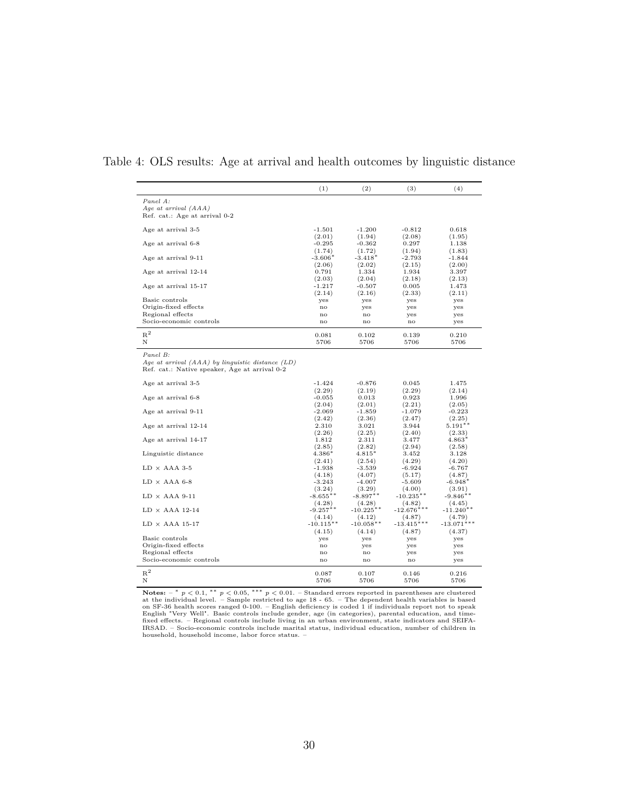|                                                                                                                   | (1)                             | (2)                             | (3)                       | (4)                       |
|-------------------------------------------------------------------------------------------------------------------|---------------------------------|---------------------------------|---------------------------|---------------------------|
| Panel A:<br>Age at arrival $(AAA)$<br>Ref. cat.: Age at arrival 0-2                                               |                                 |                                 |                           |                           |
| Age at arrival 3-5                                                                                                | $-1.501$                        | $-1.200$                        | $-0.812$                  | 0.618                     |
| Age at arrival 6-8                                                                                                | (2.01)<br>$-0.295$              | (1.94)<br>$-0.362$              | (2.08)<br>0.297           | (1.95)<br>1.138           |
| Age at arrival 9-11                                                                                               | (1.74)<br>$-3.606*$             | (1.72)<br>$-3.418*$             | (1.94)<br>$-2.793$        | (1.83)<br>$-1.844$        |
| Age at arrival 12-14                                                                                              | (2.06)<br>0.791                 | (2.02)<br>1.334                 | (2.15)<br>1.934           | (2.00)<br>3.397           |
| Age at arrival 15-17                                                                                              | (2.03)<br>$-1.217$<br>(2.14)    | (2.04)<br>$-0.507$<br>(2.16)    | (2.18)<br>0.005<br>(2.33) | (2.13)<br>1.473<br>(2.11) |
| Basic controls                                                                                                    | yes                             | yes                             | yes                       | yes                       |
| Origin-fixed effects                                                                                              | no                              | yes                             | yes                       | yes                       |
| Regional effects                                                                                                  | $_{\rm no}$                     | no                              | yes                       | yes                       |
| Socio-economic controls                                                                                           | no                              | no                              | no                        | yes                       |
| $R^2$<br>N                                                                                                        | 0.081<br>5706                   | 0.102<br>5706                   | 0.139<br>5706             | 0.210<br>5706             |
| Panel B:<br>Age at arrival $(AAA)$ by linguistic distance $(LD)$<br>Ref. cat.: Native speaker, Age at arrival 0-2 |                                 |                                 |                           |                           |
| Age at arrival 3-5                                                                                                | $-1.424$                        | $-0.876$                        | 0.045                     | 1.475                     |
| Age at arrival 6-8                                                                                                | (2.29)<br>$-0.055$              | (2.19)<br>0.013                 | (2.29)<br>0.923           | (2.14)<br>1.996           |
| Age at arrival 9-11                                                                                               | (2.04)<br>$-2.069$              | (2.01)<br>$-1.859$              | (2.21)<br>$-1.079$        | (2.05)<br>$-0.223$        |
| Age at arrival 12-14                                                                                              | (2.42)<br>2.310                 | (2.36)<br>3.021                 | (2.47)<br>3.944           | (2.25)<br>$5.191**$       |
| Age at arrival 14-17                                                                                              | (2.26)<br>1.812                 | (2.25)<br>2.311                 | (2.40)<br>3.477           | (2.33)<br>$4.863*$        |
| Linguistic distance                                                                                               | (2.85)<br>$4.386*$              | (2.82)<br>$4.815*$              | (2.94)<br>3.452           | (2.58)<br>3.128           |
|                                                                                                                   | (2.41)                          | (2.54)                          | (4.29)                    | (4.20)                    |
| $LD \times AAA$ 3-5                                                                                               | $-1.938$                        | $-3.539$                        | $-6.924$                  | $-6.767$                  |
| $LD \times AAA 6-8$                                                                                               | (4.18)<br>$-3.243$              | (4.07)<br>$-4.007$              | (5.17)<br>$-5.609$        | (4.87)<br>$-6.948*$       |
| $LD \times AAA$ 9-11                                                                                              | (3.24)<br>$-8.655**$            | (3.29)<br>$-8.897**$            | (4.00)<br>$-10.235**$     | (3.91)<br>$-9.846**$      |
| $LD \times AAA$ 12-14                                                                                             | (4.28)<br>$-9.257**$            | (4.28)<br>$-10.225**$           | (4.82)<br>$-12.676***$    | (4.45)<br>$-11.240**$     |
| $LD \times AAA$ 15-17                                                                                             | (4.14)<br>$-10.115**$<br>(4.15) | (4.12)<br>$-10.058**$<br>(4.14) | (4.87)<br>$-13.415***$    | (4.79)<br>$-13.071*$      |
| Basic controls                                                                                                    | yes                             | yes                             | (4.87)<br>yes             | (4.37)<br>yes             |
| Origin-fixed effects                                                                                              | no                              | yes                             | yes                       | yes                       |
| Regional effects                                                                                                  | no                              | no                              | yes                       | yes                       |
| Socio-economic controls                                                                                           | no                              | no                              | no                        | yes                       |
| $R^2$<br>Ν                                                                                                        | 0.087<br>5706                   | 0.107<br>5706                   | 0.146<br>5706             | 0.216<br>5706             |

#### Table 4: OLS results: Age at arrival and health outcomes by linguistic distance

**Notes:**  $-$  \*  $p$  < 0.1, \*\*  $p$  < 0.05, \*\*\*  $p$  < 0.01. – Standard errors reported in parentheses are clustered<br>at the individual level. – Sample restricted to age 18 - 65. – The dependent health variables is based<br>on SF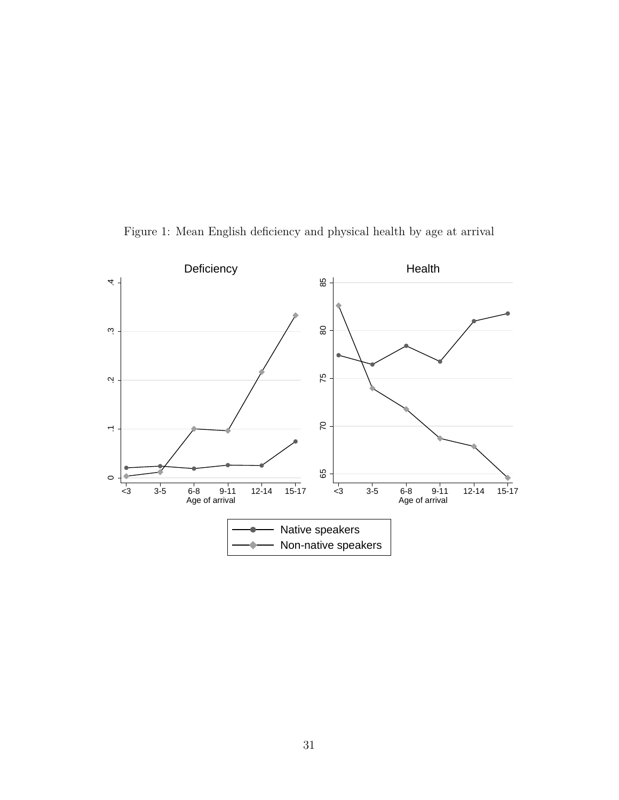

Figure 1: Mean English deficiency and physical health by age at arrival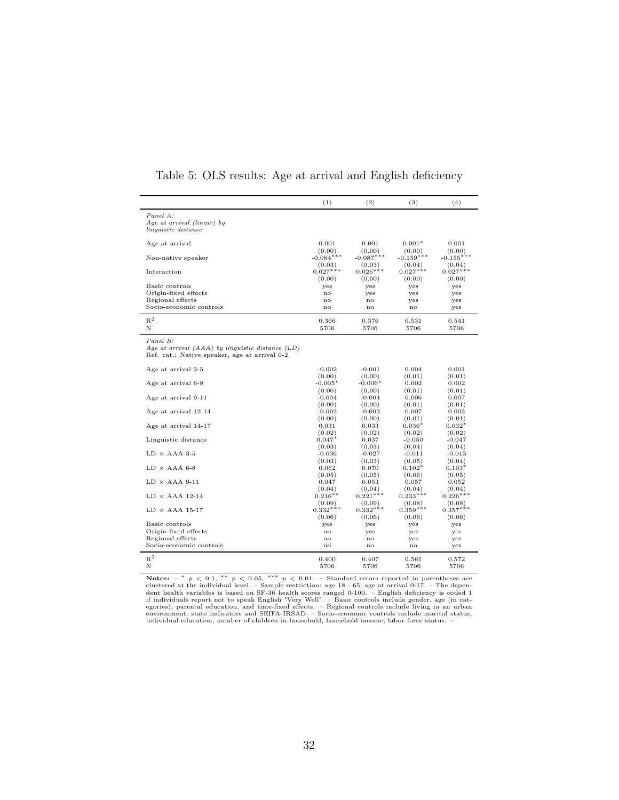|                                                      | (1)             | (2)             | (3)                | (4)                |
|------------------------------------------------------|-----------------|-----------------|--------------------|--------------------|
| Panel A:                                             |                 |                 |                    |                    |
| Age at arrival (linear) by                           |                 |                 |                    |                    |
| <i>linguistic distance</i>                           |                 |                 |                    |                    |
| Age at arrival                                       | 0.001           | 0.001           | $0.001*$           | 0.001              |
|                                                      | (0.00)          | (0.00)          | (0.00)             | (0.00)             |
| Non-native speaker                                   | $-0.084***$     | $-0.087***$     | $-0.159***$        | $-0.155***$        |
|                                                      | (0.03)          | (0.03)          | (0.04)             | (0.04)             |
| Interaction                                          | $0.027***$      | $0.026***$      | $0.027***$         | $0.027***$         |
|                                                      | (0.00)          | (0.00)          | (0.00)             | (0.00)             |
| Basic controls<br>Origin-fixed effects               | yes             | yes             | yes                | yes                |
| Regional effects                                     | no<br>no        | yes<br>no       | yes                | yes                |
| Socio-economic controls                              | no              | no              | yes<br>no          | yes<br>yes         |
|                                                      |                 |                 |                    |                    |
| $\mathbf{R}^2$                                       | 0.366           | 0.376           | 0.531              | 0.541              |
| Ν                                                    | 5706            | 5706            | 5706               | 5706               |
| Panel B:                                             |                 |                 |                    |                    |
| Age at arrival $(AAA)$ by linguistic distance $(LD)$ |                 |                 |                    |                    |
| Ref. cat.: Native speaker, age at arrival 0-2        |                 |                 |                    |                    |
| Age at arrival 3-5                                   | $-0.002$        | $-0.001$        | 0.004              | 0.001              |
|                                                      | (0.00)          | (0.00)          | (0.01)             | (0.01)             |
| Age at arrival 6-8                                   | $-0.005*$       | $-0.006*$       | 0.002              | 0.002              |
|                                                      | (0.00)          | (0.00)          | (0.01)             | (0.01)             |
| Age at arrival 9-11                                  | $-0.004$        | $-0.004$        | 0.006              | 0.007              |
|                                                      | (0.00)          | (0.00)          | (0.01)             | (0.01)             |
| Age at arrival 12-14                                 | $-0.002$        | $-0.003$        | 0.007              | 0.003              |
|                                                      | (0.00)          | (0.00)          | (0.01)             | (0.01)             |
| Age at arrival 14-17                                 | 0.031           | 0.033           | $0.036*$           | $0.032*$           |
|                                                      | (0.02)          | (0.02)          | (0.02)             | (0.02)             |
| Linguistic distance                                  | $0.047*$        | 0.037           | $-0.050$           | $-0.047$           |
|                                                      | (0.03)          | (0.03)          | (0.04)             | (0.04)             |
| $LD \times AAA$ 3-5                                  | $-0.036$        | $-0.027$        | $-0.011$           | $-0.013$           |
| ${\rm LD}$ $\times$ AAA 6-8                          | (0.03)<br>0.062 | (0.03)<br>0.070 | (0.05)<br>$0.102*$ | (0.04)<br>$0.103*$ |
|                                                      | (0.05)          | (0.05)          | (0.06)             | (0.05)             |
| $LD \times AAA 9-11$                                 | 0.047           | 0.053           | 0.057              | 0.052              |
|                                                      | (0.04)          | (0.04)          | (0.04)             | (0.04)             |
| $LD \times AAA$ 12-14                                | $0.216**$       | $0.221***$      | $0.233***$         | $0.226***$         |
|                                                      | (0.09)          | (0.09)          | (0.08)             | (0.08)             |
| $LD \times AAA$ 15-17                                | $0.332***$      | $0.332***$      | $0.359***$         | $0.357***$         |
|                                                      | (0.06)          | (0.06)          | (0.06)             | (0.06)             |
| Basic controls                                       | yes             | yes             | yes                | yes                |
| Origin-fixed effects                                 | no              | yes             | yes                | yes                |
| Regional effects                                     | no              | no              | yes                | yes                |
| Socio-economic controls                              | $\mathbf{no}$   | no              | no                 | yes                |
| $R^2$                                                | 0.400           | 0.407           | 0.561              | 0.572              |
| Ν                                                    | 5706            | 5706            | 5706               | 5706               |

#### Table 5: OLS results: Age at arrival and English deficiency

**Notes:**  $-$  \*  $p$  < 0.1, \*\*  $p$  < 0.05, \*\*\*  $p$  < 0.01. – Standard errors reported in parentheses are clustered at the individual level. – Sample restriction: age 18 - 65, age at arrival 0-17. – The dependent health vari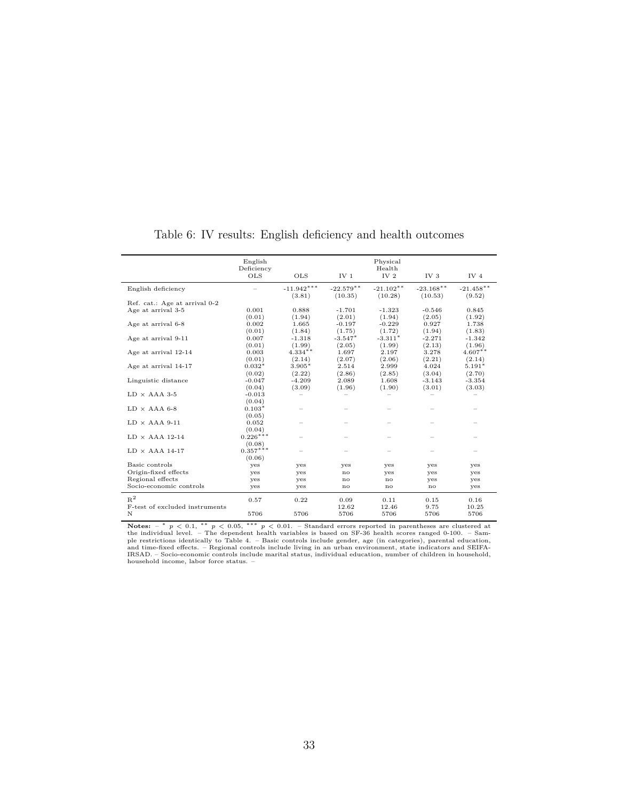|                                | English<br>Deficiency<br><b>OLS</b> | <b>OLS</b>   | IV <sub>1</sub> | Physical<br>Health<br>IV <sub>2</sub> | IV <sub>3</sub> | IV <sub>4</sub> |
|--------------------------------|-------------------------------------|--------------|-----------------|---------------------------------------|-----------------|-----------------|
|                                |                                     |              |                 |                                       |                 |                 |
| English deficiency             |                                     | $-11.942***$ | $-22.579**$     | $-21.102**$                           | $-23.168**$     | $-21.458**$     |
| Ref. cat.: Age at arrival 0-2  |                                     | (3.81)       | (10.35)         | (10.28)                               | (10.53)         | (9.52)          |
|                                |                                     |              |                 |                                       |                 |                 |
| Age at arrival 3-5             | 0.001                               | 0.888        | $-1.701$        | $-1.323$                              | $-0.546$        | 0.845           |
|                                | (0.01)                              | (1.94)       | (2.01)          | (1.94)                                | (2.05)          | (1.92)          |
| Age at arrival 6-8             | 0.002                               | 1.665        | $-0.197$        | $-0.229$                              | 0.927           | 1.738           |
|                                | (0.01)                              | (1.84)       | (1.75)          | (1.72)                                | (1.94)          | (1.83)          |
| Age at arrival 9-11            | 0.007                               | $-1.318$     | $-3.547*$       | $-3.311*$                             | $-2.271$        | $-1.342$        |
|                                | (0.01)                              | (1.99)       | (2.05)          | (1.99)                                | (2.13)          | (1.96)          |
| Age at arrival 12-14           | 0.003                               | $4.334**$    | 1.697           | 2.197                                 | 3.278           | $4.607**$       |
|                                | (0.01)                              | (2.14)       | (2.07)          | (2.06)                                | (2.21)          | (2.14)          |
| Age at arrival 14-17           | $0.032*$                            | $3.905*$     | 2.514           | 2.999                                 | 4.024           | $5.191*$        |
|                                | (0.02)                              | (2.22)       | (2.86)          | (2.85)                                | (3.04)          | (2.70)          |
| Linguistic distance            | $-0.047$                            | $-4.209$     | 2.089           | 1.608                                 | $-3.143$        | $-3.354$        |
|                                | (0.04)                              | (3.09)       | (1.96)          | (1.90)                                | (3.01)          | (3.03)          |
| $LD \times AAA$ 3-5            | $-0.013$                            |              |                 |                                       |                 |                 |
|                                | (0.04)                              |              |                 |                                       |                 |                 |
| $LD \times AAA$ 6-8            | $0.103*$                            |              |                 |                                       |                 |                 |
|                                | (0.05)                              |              |                 |                                       |                 |                 |
| $LD \times AAA 9-11$           | 0.052                               |              |                 |                                       |                 |                 |
|                                | (0.04)                              |              |                 |                                       |                 |                 |
| $LD \times AAA$ 12-14          | $0.226***$                          |              |                 |                                       |                 |                 |
|                                | (0.08)                              |              |                 |                                       |                 |                 |
| $LD \times AAA$ 14-17          | $0.357***$                          |              |                 |                                       |                 |                 |
|                                | (0.06)                              |              |                 |                                       |                 |                 |
| Basic controls                 |                                     |              |                 |                                       |                 |                 |
|                                | yes                                 | yes          | yes             | yes                                   | yes             | yes             |
| Origin-fixed effects           | yes                                 | yes          | no              | yes                                   | yes             | yes             |
| Regional effects               | yes                                 | yes          | $\mathbf{n}$    | $\mathbf{no}$                         | yes             | yes             |
| Socio-economic controls        | yes                                 | yes          | no              | no                                    | no              | yes             |
| $R^2$                          | 0.57                                | 0.22         | 0.09            | 0.11                                  | 0.15            | 0.16            |
| F-test of excluded instruments |                                     |              | 12.62           | 12.46                                 | 9.75            | 10.25           |
| N                              | 5706                                | 5706         | 5706            | 5706                                  | 5706            | 5706            |
|                                |                                     |              |                 |                                       |                 |                 |

Table 6: IV results: English deficiency and health outcomes

**Notes:**  $-$  \*  $p$  < 0.1, \*\*  $p$  < 0.05, \*\*\*  $p$  < 0.01. - Standard errors reported in parentheses are clustered at the individual level. - The dependent health variables is based on SF-36 health scores ranged 0-100. - Sa